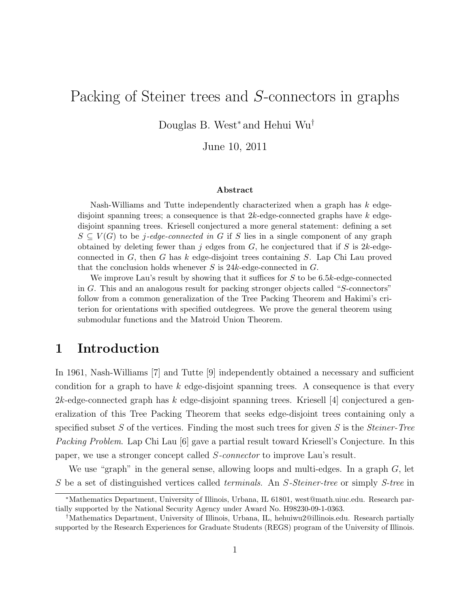# Packing of Steiner trees and S-connectors in graphs

Douglas B. West<sup>∗</sup> and Hehui Wu†

June 10, 2011

#### Abstract

Nash-Williams and Tutte independently characterized when a graph has k edgedisjoint spanning trees; a consequence is that  $2k$ -edge-connected graphs have  $k$  edgedisjoint spanning trees. Kriesell conjectured a more general statement: defining a set  $S \subseteq V(G)$  to be j-edge-connected in G if S lies in a single component of any graph obtained by deleting fewer than j edges from  $G$ , he conjectured that if S is 2k-edgeconnected in  $G$ , then  $G$  has  $k$  edge-disjoint trees containing  $S$ . Lap Chi Lau proved that the conclusion holds whenever  $S$  is 24k-edge-connected in  $G$ .

We improve Lau's result by showing that it suffices for  $S$  to be 6.5k-edge-connected in G. This and an analogous result for packing stronger objects called "S-connectors" follow from a common generalization of the Tree Packing Theorem and Hakimi's criterion for orientations with specified outdegrees. We prove the general theorem using submodular functions and the Matroid Union Theorem.

## 1 Introduction

In 1961, Nash-Williams [7] and Tutte [9] independently obtained a necessary and sufficient condition for a graph to have  $k$  edge-disjoint spanning trees. A consequence is that every  $2k$ -edge-connected graph has k edge-disjoint spanning trees. Kriesell [4] conjectured a generalization of this Tree Packing Theorem that seeks edge-disjoint trees containing only a specified subset S of the vertices. Finding the most such trees for given S is the *Steiner-Tree Packing Problem*. Lap Chi Lau [6] gave a partial result toward Kriesell's Conjecture. In this paper, we use a stronger concept called S*-connector* to improve Lau's result.

We use "graph" in the general sense, allowing loops and multi-edges. In a graph  $G$ , let S be a set of distinguished vertices called *terminals*. An S*-Steiner-tree* or simply *S-tree* in

<sup>∗</sup>Mathematics Department, University of Illinois, Urbana, IL 61801, west@math.uiuc.edu. Research partially supported by the National Security Agency under Award No. H98230-09-1-0363.

<sup>†</sup>Mathematics Department, University of Illinois, Urbana, IL, hehuiwu2@illinois.edu. Research partially supported by the Research Experiences for Graduate Students (REGS) program of the University of Illinois.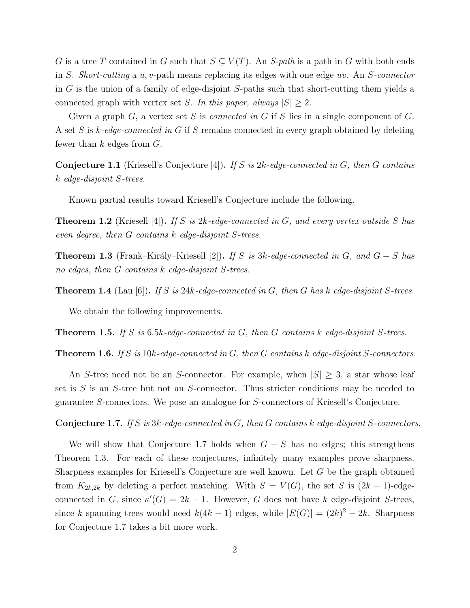G is a tree T contained in G such that  $S \subseteq V(T)$ . An S-path is a path in G with both ends in S. *Short-cutting* a u,v-path means replacing its edges with one edge uv. An S*-connector* in  $G$  is the union of a family of edge-disjoint  $S$ -paths such that short-cutting them yields a connected graph with vertex set S. In this paper, always  $|S| \geq 2$ .

Given a graph G, a vertex set S is *connected in* G if S lies in a single component of G. A set S is k*-edge-connected in* G if S remains connected in every graph obtained by deleting fewer than  $k$  edges from  $G$ .

Conjecture 1.1 (Kriesell's Conjecture [4]). *If* S *is* 2k*-edge-connected in* G*, then* G *contains* k *edge-disjoint* S*-trees.*

Known partial results toward Kriesell's Conjecture include the following.

Theorem 1.2 (Kriesell [4]). *If* S *is* 2k*-edge-connected in* G*, and every vertex outside* S *has even degree, then* G *contains* k *edge-disjoint* S*-trees.*

**Theorem 1.3** (Frank–Király–Kriesell [2]). *If* S is 3k-edge-connected in G, and  $G - S$  has *no edges, then* G *contains* k *edge-disjoint* S*-trees.*

Theorem 1.4 (Lau [6]). *If* S *is* 24k*-edge-connected in* G*, then* G *has* k *edge-disjoint* S*-trees.*

We obtain the following improvements.

Theorem 1.5. *If* S *is* 6.5k*-edge-connected in* G*, then* G *contains* k *edge-disjoint* S*-trees.*

Theorem 1.6. *If* S *is* 10k*-edge-connected in* G*, then* G *contains* k *edge-disjoint* S*-connectors.*

An S-tree need not be an S-connector. For example, when  $|S| \geq 3$ , a star whose leaf set is  $S$  is an  $S$ -tree but not an  $S$ -connector. Thus stricter conditions may be needed to guarantee S-connectors. We pose an analogue for S-connectors of Kriesell's Conjecture.

Conjecture 1.7. *If* S *is* 3k*-edge-connected in* G*, then* G *contains* k *edge-disjoint* S*-connectors.*

We will show that Conjecture 1.7 holds when  $G - S$  has no edges; this strengthens Theorem 1.3. For each of these conjectures, infinitely many examples prove sharpness. Sharpness examples for Kriesell's Conjecture are well known. Let G be the graph obtained from  $K_{2k,2k}$  by deleting a perfect matching. With  $S = V(G)$ , the set S is  $(2k-1)$ -edgeconnected in G, since  $\kappa'(G) = 2k - 1$ . However, G does not have k edge-disjoint S-trees, since k spanning trees would need  $k(4k-1)$  edges, while  $|E(G)| = (2k)^2 - 2k$ . Sharpness for Conjecture 1.7 takes a bit more work.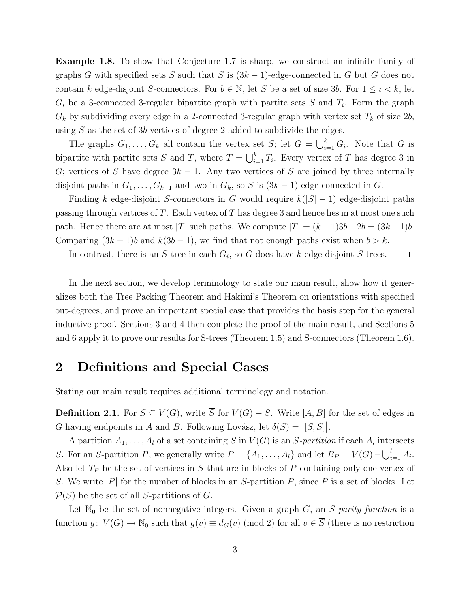Example 1.8. To show that Conjecture 1.7 is sharp, we construct an infinite family of graphs G with specified sets S such that S is  $(3k-1)$ -edge-connected in G but G does not contain k edge-disjoint S-connectors. For  $b \in \mathbb{N}$ , let S be a set of size 3b. For  $1 \leq i \leq k$ , let  $G_i$  be a 3-connected 3-regular bipartite graph with partite sets S and  $T_i$ . Form the graph  $G_k$  by subdividing every edge in a 2-connected 3-regular graph with vertex set  $T_k$  of size  $2b$ , using  $S$  as the set of 3b vertices of degree 2 added to subdivide the edges.

The graphs  $G_1, \ldots, G_k$  all contain the vertex set S; let  $G = \bigcup_{i=1}^k G_i$ . Note that G is bipartite with partite sets S and T, where  $T = \bigcup_{i=1}^{k} T_i$ . Every vertex of T has degree 3 in G; vertices of S have degree  $3k - 1$ . Any two vertices of S are joined by three internally disjoint paths in  $G_1, \ldots, G_{k-1}$  and two in  $G_k$ , so S is  $(3k-1)$ -edge-connected in G.

Finding k edge-disjoint S-connectors in G would require  $k(|S|-1)$  edge-disjoint paths passing through vertices of T. Each vertex of T has degree 3 and hence lies in at most one such path. Hence there are at most |T| such paths. We compute  $|T| = (k-1)3b + 2b = (3k-1)b$ . Comparing  $(3k-1)b$  and  $k(3b-1)$ , we find that not enough paths exist when  $b > k$ .

In contrast, there is an  $S$ -tree in each  $G_i$ , so  $G$  does have k-edge-disjoint  $S$ -trees.  $\Box$ 

In the next section, we develop terminology to state our main result, show how it generalizes both the Tree Packing Theorem and Hakimi's Theorem on orientations with specified out-degrees, and prove an important special case that provides the basis step for the general inductive proof. Sections 3 and 4 then complete the proof of the main result, and Sections 5 and 6 apply it to prove our results for S-trees (Theorem 1.5) and S-connectors (Theorem 1.6).

## 2 Definitions and Special Cases

Stating our main result requires additional terminology and notation.

**Definition 2.1.** For  $S \subseteq V(G)$ , write  $\overline{S}$  for  $V(G) - S$ . Write [A, B] for the set of edges in G having endpoints in A and B. Following Lovász, let  $\delta(S) = |[S, \overline{S}]|$ .

A partition  $A_1, \ldots, A_l$  of a set containing S in  $V(G)$  is an S-partition if each  $A_i$  intersects S. For an S-partition P, we generally write  $P = \{A_1, \ldots, A_l\}$  and let  $B_P = V(G) - \bigcup_{i=1}^l A_i$ . Also let  $T_P$  be the set of vertices in S that are in blocks of P containing only one vertex of S. We write  $|P|$  for the number of blocks in an S-partition P, since P is a set of blocks. Let  $\mathcal{P}(S)$  be the set of all S-partitions of G.

Let  $\mathbb{N}_0$  be the set of nonnegative integers. Given a graph  $G$ , an  $S$ -parity function is a function  $g: V(G) \to \mathbb{N}_0$  such that  $g(v) \equiv d_G(v) \pmod{2}$  for all  $v \in \overline{S}$  (there is no restriction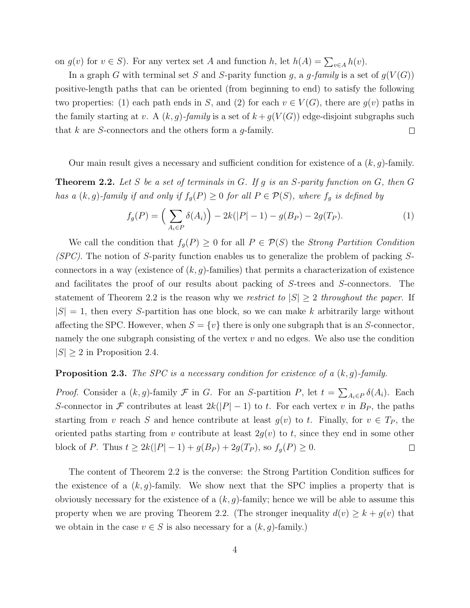on  $g(v)$  for  $v \in S$ ). For any vertex set A and function h, let  $h(A) = \sum_{v \in A} h(v)$ .

In a graph G with terminal set S and S-parity function g, a g-family is a set of  $g(V(G))$ positive-length paths that can be oriented (from beginning to end) to satisfy the following two properties: (1) each path ends in S, and (2) for each  $v \in V(G)$ , there are  $g(v)$  paths in the family starting at v. A  $(k, g)$ -family is a set of  $k + g(V(G))$  edge-disjoint subgraphs such that  $k$  are  $S$ -connectors and the others form a  $g$ -family.  $\Box$ 

Our main result gives a necessary and sufficient condition for existence of a  $(k, q)$ -family.

Theorem 2.2. *Let* S *be a set of terminals in* G*. If* g *is an* S*-parity function on* G*, then* G *has a*  $(k, g)$ -family if and only if  $f_g(P) \geq 0$  for all  $P \in \mathcal{P}(S)$ , where  $f_g$  is defined by

$$
f_g(P) = \left(\sum_{A_i \in P} \delta(A_i)\right) - 2k(|P| - 1) - g(B_P) - 2g(T_P). \tag{1}
$$

We call the condition that  $f_g(P) \geq 0$  for all  $P \in \mathcal{P}(S)$  the *Strong Partition Condition (SPC)*. The notion of S-parity function enables us to generalize the problem of packing Sconnectors in a way (existence of  $(k, g)$ -families) that permits a characterization of existence and facilitates the proof of our results about packing of S-trees and S-connectors. The statement of Theorem 2.2 is the reason why we *restrict to*  $|S| \geq 2$  *throughout the paper*. If  $|S| = 1$ , then every S-partition has one block, so we can make k arbitrarily large without affecting the SPC. However, when  $S = \{v\}$  there is only one subgraph that is an S-connector, namely the one subgraph consisting of the vertex  $v$  and no edges. We also use the condition  $|S| \geq 2$  in Proposition 2.4.

#### Proposition 2.3. *The SPC is a necessary condition for existence of a* (k,g)*-family.*

*Proof.* Consider a  $(k, g)$ -family  $\mathcal F$  in G. For an S-partition P, let  $t = \sum_{A_i \in P} \delta(A_i)$ . Each S-connector in F contributes at least  $2k(|P|-1)$  to t. For each vertex v in  $B_P$ , the paths starting from v reach S and hence contribute at least  $g(v)$  to t. Finally, for  $v \in T_P$ , the oriented paths starting from v contribute at least  $2g(v)$  to t, since they end in some other block of P. Thus  $t \geq 2k(|P|-1) + g(B_P) + 2g(T_P)$ , so  $f_g(P) \geq 0$ .  $\Box$ 

The content of Theorem 2.2 is the converse: the Strong Partition Condition suffices for the existence of a  $(k, q)$ -family. We show next that the SPC implies a property that is obviously necessary for the existence of a  $(k, q)$ -family; hence we will be able to assume this property when we are proving Theorem 2.2. (The stronger inequality  $d(v) \geq k + g(v)$  that we obtain in the case  $v \in S$  is also necessary for a  $(k, g)$ -family.)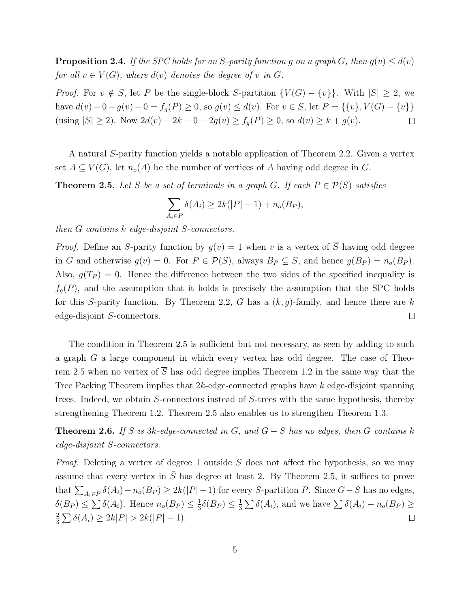**Proposition 2.4.** If the SPC holds for an S-parity function g on a graph G, then  $g(v) \leq d(v)$ *for all*  $v \in V(G)$ *, where*  $d(v)$  *denotes the degree of* v *in* G.

*Proof.* For  $v \notin S$ , let P be the single-block S-partition  $\{V(G) - \{v\}\}\$ . With  $|S| \geq 2$ , we have  $d(v) - 0 - g(v) - 0 = f_g(P) \ge 0$ , so  $g(v) \le d(v)$ . For  $v \in S$ , let  $P = \{\{v\}, V(G) - \{v\}\}\$ (using  $|S| \ge 2$ ). Now  $2d(v) - 2k - 0 - 2g(v) \ge f_g(P) \ge 0$ , so  $d(v) \ge k + g(v)$ .  $\Box$ 

A natural S-parity function yields a notable application of Theorem 2.2. Given a vertex set  $A \subseteq V(G)$ , let  $n_o(A)$  be the number of vertices of A having odd degree in G.

**Theorem 2.5.** Let S be a set of terminals in a graph G. If each  $P \in \mathcal{P}(S)$  satisfies

$$
\sum_{A_i \in P} \delta(A_i) \ge 2k(|P|-1) + n_o(B_P),
$$

*then* G *contains* k *edge-disjoint* S*-connectors.*

*Proof.* Define an S-parity function by  $g(v) = 1$  when v is a vertex of  $\overline{S}$  having odd degree in G and otherwise  $g(v) = 0$ . For  $P \in \mathcal{P}(S)$ , always  $B_P \subseteq \overline{S}$ , and hence  $g(B_P) = n_o(B_P)$ . Also,  $g(T_P) = 0$ . Hence the difference between the two sides of the specified inequality is  $f_g(P)$ , and the assumption that it holds is precisely the assumption that the SPC holds for this S-parity function. By Theorem 2.2, G has a  $(k, g)$ -family, and hence there are k edge-disjoint S-connectors.  $\Box$ 

The condition in Theorem 2.5 is sufficient but not necessary, as seen by adding to such a graph G a large component in which every vertex has odd degree. The case of Theorem 2.5 when no vertex of  $\overline{S}$  has odd degree implies Theorem 1.2 in the same way that the Tree Packing Theorem implies that 2k-edge-connected graphs have k edge-disjoint spanning trees. Indeed, we obtain S-connectors instead of S-trees with the same hypothesis, thereby strengthening Theorem 1.2. Theorem 2.5 also enables us to strengthen Theorem 1.3.

Theorem 2.6. *If* S *is* 3k*-edge-connected in* G*, and* G − S *has no edges, then* G *contains* k *edge-disjoint* S*-connectors.*

*Proof.* Deleting a vertex of degree 1 outside S does not affect the hypothesis, so we may assume that every vertex in  $\overline{S}$  has degree at least 2. By Theorem 2.5, it suffices to prove that  $\sum_{A_i \in P} \delta(A_i) - n_o(B_P) \geq 2k(|P| - 1)$  for every S-partition P. Since  $G - S$  has no edges,  $\delta(B_P) \leq \sum \delta(A_i)$ . Hence  $n_o(B_P) \leq \frac{1}{3}$  $\frac{1}{3}\delta(B_P) \leq \frac{1}{3}$  $\frac{1}{3} \sum \delta(A_i)$ , and we have  $\sum \delta(A_i) - n_o(B_P) \geq$ 2  $\frac{2}{3}\sum \delta(A_i) \geq 2k|P| > 2k(|P|-1).$  $\Box$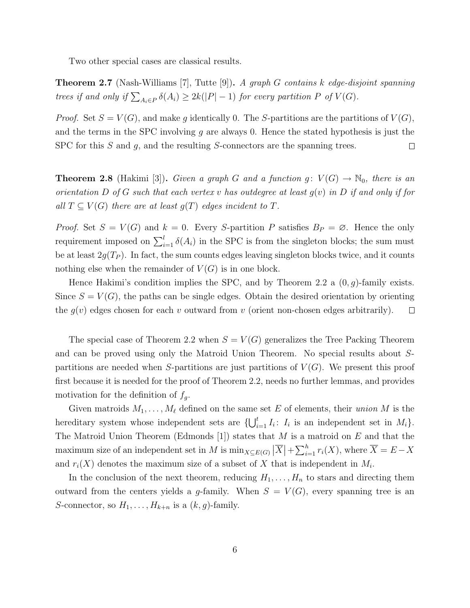Two other special cases are classical results.

Theorem 2.7 (Nash-Williams [7], Tutte [9]). *A graph* G *contains* k *edge-disjoint spanning trees if and only if*  $\sum_{A_i \in P} \delta(A_i) \geq 2k(|P| - 1)$  *for every partition* P *of*  $V(G)$ *.* 

*Proof.* Set  $S = V(G)$ , and make g identically 0. The S-partitions are the partitions of  $V(G)$ , and the terms in the SPC involving  $g$  are always 0. Hence the stated hypothesis is just the SPC for this  $S$  and  $g$ , and the resulting  $S$ -connectors are the spanning trees.  $\Box$ 

**Theorem 2.8** (Hakimi [3]). *Given a graph* G and a function  $g: V(G) \to \mathbb{N}_0$ , there is an *orientation* D *of* G *such that each vertex* v *has outdegree at least* g(v) *in* D *if and only if for all*  $T \subseteq V(G)$  *there are at least*  $g(T)$  *edges incident to*  $T$ *.* 

*Proof.* Set  $S = V(G)$  and  $k = 0$ . Every S-partition P satisfies  $B_P = \emptyset$ . Hence the only requirement imposed on  $\sum_{i=1}^{l} \delta(A_i)$  in the SPC is from the singleton blocks; the sum must be at least  $2g(T_P)$ . In fact, the sum counts edges leaving singleton blocks twice, and it counts nothing else when the remainder of  $V(G)$  is in one block.

Hence Hakimi's condition implies the SPC, and by Theorem 2.2 a  $(0, g)$ -family exists. Since  $S = V(G)$ , the paths can be single edges. Obtain the desired orientation by orienting the  $g(v)$  edges chosen for each v outward from v (orient non-chosen edges arbitrarily).  $\Box$ 

The special case of Theorem 2.2 when  $S = V(G)$  generalizes the Tree Packing Theorem and can be proved using only the Matroid Union Theorem. No special results about Spartitions are needed when S-partitions are just partitions of  $V(G)$ . We present this proof first because it is needed for the proof of Theorem 2.2, needs no further lemmas, and provides motivation for the definition of  $f_q$ .

Given matroids  $M_1, \ldots, M_\ell$  defined on the same set E of elements, their *union* M is the hereditary system whose independent sets are  $\{\bigcup_{i=1}^t I_i: I_i$  is an independent set in  $M_i\}$ . The Matroid Union Theorem (Edmonds [1]) states that  $M$  is a matroid on  $E$  and that the maximum size of an independent set in M is  $\min_{X \subseteq E(G)} |\overline{X}| + \sum_{i=1}^{h} r_i(X)$ , where  $\overline{X} = E - X$ and  $r_i(X)$  denotes the maximum size of a subset of X that is independent in  $M_i$ .

In the conclusion of the next theorem, reducing  $H_1, \ldots, H_n$  to stars and directing them outward from the centers yields a g-family. When  $S = V(G)$ , every spanning tree is an S-connector, so  $H_1, \ldots, H_{k+n}$  is a  $(k, g)$ -family.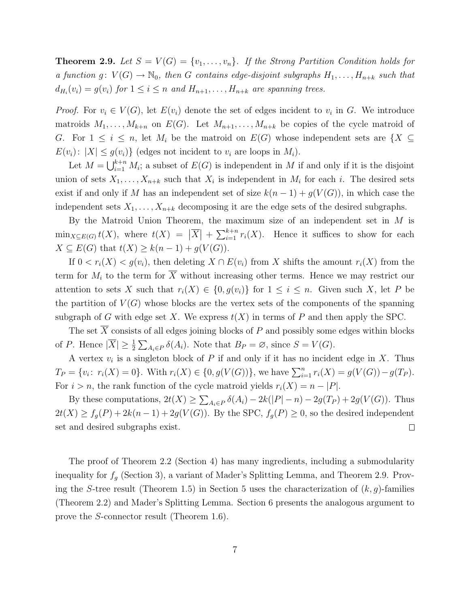**Theorem 2.9.** Let  $S = V(G) = \{v_1, \ldots, v_n\}$ . If the Strong Partition Condition holds for *a function*  $g: V(G) \to \mathbb{N}_0$ , then G contains edge-disjoint subgraphs  $H_1, \ldots, H_{n+k}$  such that  $d_{H_i}(v_i) = g(v_i)$  for  $1 \leq i \leq n$  and  $H_{n+1}, \ldots, H_{n+k}$  are spanning trees.

*Proof.* For  $v_i \in V(G)$ , let  $E(v_i)$  denote the set of edges incident to  $v_i$  in G. We introduce matroids  $M_1,\ldots,M_{k+n}$  on  $E(G)$ . Let  $M_{n+1},\ldots,M_{n+k}$  be copies of the cycle matroid of G. For  $1 \leq i \leq n$ , let  $M_i$  be the matroid on  $E(G)$  whose independent sets are  $\{X \subseteq$  $E(v_i): |X| \le g(v_i)$  (edges not incident to  $v_i$  are loops in  $M_i$ ).

Let  $M = \bigcup_{i=1}^{k+n} M_i$ ; a subset of  $E(G)$  is independent in M if and only if it is the disjoint union of sets  $X_1, \ldots, X_{n+k}$  such that  $X_i$  is independent in  $M_i$  for each i. The desired sets exist if and only if M has an independent set of size  $k(n-1) + g(V(G))$ , in which case the independent sets  $X_1, \ldots, X_{n+k}$  decomposing it are the edge sets of the desired subgraphs.

By the Matroid Union Theorem, the maximum size of an independent set in M is  $\min_{X \subseteq E(G)} t(X)$ , where  $t(X) = |\overline{X}| + \sum_{i=1}^{k+n} r_i(X)$ . Hence it suffices to show for each  $X \subseteq E(G)$  that  $t(X) \geq k(n-1) + g(V(G)).$ 

If  $0 < r_i(X) < g(v_i)$ , then deleting  $X \cap E(v_i)$  from X shifts the amount  $r_i(X)$  from the term for  $M_i$  to the term for  $\overline{X}$  without increasing other terms. Hence we may restrict our attention to sets X such that  $r_i(X) \in \{0, g(v_i)\}\$  for  $1 \leq i \leq n$ . Given such X, let P be the partition of  $V(G)$  whose blocks are the vertex sets of the components of the spanning subgraph of G with edge set X. We express  $t(X)$  in terms of P and then apply the SPC.

The set  $\overline{X}$  consists of all edges joining blocks of P and possibly some edges within blocks of P. Hence  $|\overline{X}| \geq \frac{1}{2} \sum_{A_i \in P} \delta(A_i)$ . Note that  $B_P = \emptyset$ , since  $S = V(G)$ .

A vertex  $v_i$  is a singleton block of P if and only if it has no incident edge in X. Thus  $T_P = \{v_i: r_i(X) = 0\}$ . With  $r_i(X) \in \{0, g(V(G))\}$ , we have  $\sum_{i=1}^n r_i(X) = g(V(G)) - g(T_P)$ . For  $i > n$ , the rank function of the cycle matroid yields  $r_i(X) = n - |P|$ .

By these computations,  $2t(X) \geq \sum_{A_i \in P} \delta(A_i) - 2k(|P| - n) - 2g(T_P) + 2g(V(G))$ . Thus  $2t(X) \ge f_g(P) + 2k(n-1) + 2g(V(G))$ . By the SPC,  $f_g(P) \ge 0$ , so the desired independent set and desired subgraphs exist.  $\Box$ 

The proof of Theorem 2.2 (Section 4) has many ingredients, including a submodularity inequality for  $f_g$  (Section 3), a variant of Mader's Splitting Lemma, and Theorem 2.9. Proving the S-tree result (Theorem 1.5) in Section 5 uses the characterization of  $(k, g)$ -families (Theorem 2.2) and Mader's Splitting Lemma. Section 6 presents the analogous argument to prove the S-connector result (Theorem 1.6).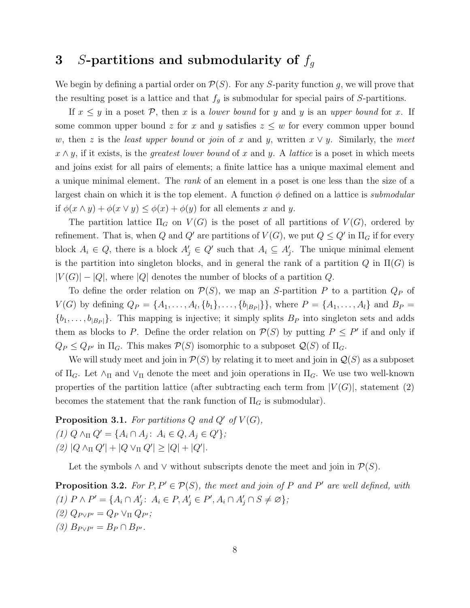# 3 S-partitions and submodularity of  $f_q$

We begin by defining a partial order on  $\mathcal{P}(S)$ . For any S-parity function g, we will prove that the resulting poset is a lattice and that  $f_g$  is submodular for special pairs of S-partitions.

If  $x \leq y$  in a poset  $P$ , then x is a *lower bound* for y and y is an *upper bound* for x. If some common upper bound z for x and y satisfies  $z \leq w$  for every common upper bound w, then z is the *least upper bound* or *join* of x and y, written  $x \vee y$ . Similarly, the meet  $x \wedge y$ , if it exists, is the *greatest lower bound* of x and y. A *lattice* is a poset in which meets and joins exist for all pairs of elements; a finite lattice has a unique maximal element and a unique minimal element. The *rank* of an element in a poset is one less than the size of a largest chain on which it is the top element. A function  $\phi$  defined on a lattice is *submodular* if  $\phi(x \wedge y) + \phi(x \vee y) \leq \phi(x) + \phi(y)$  for all elements x and y.

The partition lattice  $\Pi_G$  on  $V(G)$  is the poset of all partitions of  $V(G)$ , ordered by refinement. That is, when Q and Q' are partitions of  $V(G)$ , we put  $Q \le Q'$  in  $\Pi_G$  if for every block  $A_i \in Q$ , there is a block  $A'_j \in Q'$  such that  $A_i \subseteq A'_j$ . The unique minimal element is the partition into singleton blocks, and in general the rank of a partition  $Q$  in  $\Pi(G)$  is  $|V(G)| - |Q|$ , where  $|Q|$  denotes the number of blocks of a partition Q.

To define the order relation on  $\mathcal{P}(S)$ , we map an S-partition P to a partition  $Q_P$  of  $V(G)$  by defining  $Q_P = \{A_1, \ldots, A_l, \{b_1\}, \ldots, \{b_{|B_P|}\}\}\$ , where  $P = \{A_1, \ldots, A_l\}$  and  $B_P =$  $\{b_1,\ldots,b_{|B_P|}\}.$  This mapping is injective; it simply splits  $B_P$  into singleton sets and adds them as blocks to P. Define the order relation on  $\mathcal{P}(S)$  by putting  $P \leq P'$  if and only if  $Q_P \leq Q_{P'}$  in  $\Pi_G$ . This makes  $\mathcal{P}(S)$  isomorphic to a subposet  $\mathcal{Q}(S)$  of  $\Pi_G$ .

We will study meet and join in  $\mathcal{P}(S)$  by relating it to meet and join in  $\mathcal{Q}(S)$  as a subposet of  $\Pi_G$ . Let  $\wedge_{\Pi}$  and  $\vee_{\Pi}$  denote the meet and join operations in  $\Pi_G$ . We use two well-known properties of the partition lattice (after subtracting each term from  $|V(G)|$ , statement (2) becomes the statement that the rank function of  $\Pi_G$  is submodular).

**Proposition 3.1.** For partitions Q and Q' of  $V(G)$ ,  $(1) Q \wedge_{\Pi} Q' = \{A_i \cap A_j : A_i \in Q, A_j \in Q'\};$  $(2)$   $|Q \wedge_{\Pi} Q'| + |Q \vee_{\Pi} Q'| \geq |Q| + |Q'|.$ 

Let the symbols  $\wedge$  and  $\vee$  without subscripts denote the meet and join in  $\mathcal{P}(S)$ .

**Proposition 3.2.** For  $P, P' \in \mathcal{P}(S)$ , the meet and join of P and P' are well defined, with *(1)*  $P \wedge P' = \{A_i \cap A'_j : A_i \in P, A'_j \in P', A_i \cap A'_j \cap S \neq \emptyset\};$  $(2)$   $Q_{P\vee P'} = Q_P \vee_{\Pi} Q_{P'};$  $(3)$   $B_{P\vee P'} = B_P \cap B_{P'}$ .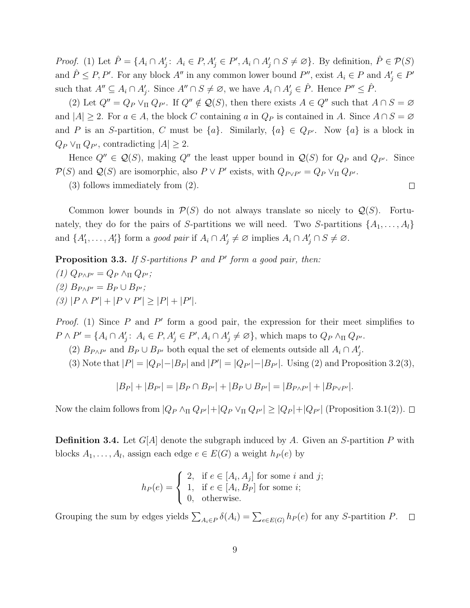*Proof.* (1) Let  $\hat{P} = \{A_i \cap A'_j : A_i \in P, A'_j \in P', A_i \cap A'_j \cap S \neq \emptyset\}$ . By definition,  $\hat{P} \in \mathcal{P}(S)$ and  $\hat{P} \leq P, P'$ . For any block A'' in any common lower bound P'', exist  $A_i \in P$  and  $A'_j \in P'$ such that  $A'' \subseteq A_i \cap A'_j$ . Since  $A'' \cap S \neq \emptyset$ , we have  $A_i \cap A'_j \in \hat{P}$ . Hence  $P'' \leq \hat{P}$ .

(2) Let  $Q'' = Q_P \vee_{\Pi} Q_{P'}$ . If  $Q'' \notin \mathcal{Q}(S)$ , then there exists  $A \in Q''$  such that  $A \cap S = \emptyset$ and  $|A| \geq 2$ . For  $a \in A$ , the block C containing a in  $Q_P$  is contained in A. Since  $A \cap S = \emptyset$ and P is an S-partition, C must be  $\{a\}$ . Similarly,  $\{a\} \in Q_{P'}$ . Now  $\{a\}$  is a block in  $Q_P \vee_{\Pi} Q_{P'}$ , contradicting  $|A| \geq 2$ .

Hence  $Q'' \in \mathcal{Q}(S)$ , making  $Q''$  the least upper bound in  $\mathcal{Q}(S)$  for  $Q_P$  and  $Q_{P'}$ . Since  $\mathcal{P}(S)$  and  $\mathcal{Q}(S)$  are isomorphic, also  $P \vee P'$  exists, with  $Q_{P \vee P'} = Q_P \vee_{\Pi} Q_{P'}$ .

(3) follows immediately from (2).

Common lower bounds in  $\mathcal{P}(S)$  do not always translate so nicely to  $\mathcal{Q}(S)$ . Fortunately, they do for the pairs of S-partitions we will need. Two S-partitions  $\{A_1, \ldots, A_l\}$ and  $\{A'_1, \ldots, A'_l\}$  form a *good pair* if  $A_i \cap A'_j \neq \emptyset$  implies  $A_i \cap A'_j \cap S \neq \emptyset$ .

Proposition 3.3. *If* S*-partitions* P *and* P ′ *form a good pair, then:*  $(1)$   $Q_{P\wedge P'} = Q_P \wedge_{\Pi} Q_{P'};$  $(2)$   $B_{P\wedge P'} = B_P \cup B_{P'};$  $(3)$   $|P \wedge P'| + |P \vee P'| \geq |P| + |P'|$ .

*Proof.* (1) Since  $P$  and  $P'$  form a good pair, the expression for their meet simplifies to  $P \wedge P' = \{A_i \cap A'_j : A_i \in P, A'_j \in P', A_i \cap A'_j \neq \emptyset\}$ , which maps to  $Q_P \wedge_{\Pi} Q_{P'}$ .

(2)  $B_{P \wedge P'}$  and  $B_P \cup B_{P'}$  both equal the set of elements outside all  $A_i \cap A'_j$ .

(3) Note that  $|P| = |Q_P| - |B_P|$  and  $|P'| = |Q_{P'}| - |B_{P'}|$ . Using (2) and Proposition 3.2(3),

$$
|B_P| + |B_{P'}| = |B_P \cap B_{P'}| + |B_P \cup B_{P'}| = |B_{P \wedge P'}| + |B_{P \vee P'}|.
$$

Now the claim follows from  $|Q_P \wedge_{\Pi} Q_{P'}| + |Q_P \vee_{\Pi} Q_{P'}| \ge |Q_P| + |Q_{P'}|$  (Proposition 3.1(2)).  $\square$ 

**Definition 3.4.** Let  $G[A]$  denote the subgraph induced by A. Given an S-partition P with blocks  $A_1, \ldots, A_l$ , assign each edge  $e \in E(G)$  a weight  $h_P(e)$  by

$$
h_P(e) = \begin{cases} 2, & \text{if } e \in [A_i, A_j] \text{ for some } i \text{ and } j; \\ 1, & \text{if } e \in [A_i, B_P] \text{ for some } i; \\ 0, & \text{otherwise.} \end{cases}
$$

Grouping the sum by edges yields  $\sum_{A_i \in P} \delta(A_i) = \sum_{e \in E(G)} h_P(e)$  for any S-partition P.  $\Box$ 

 $\Box$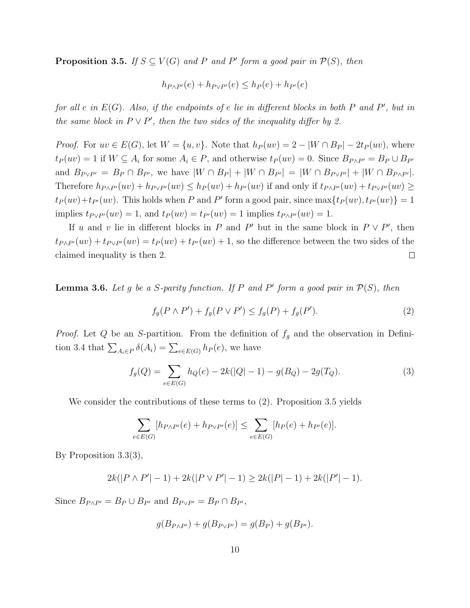**Proposition 3.5.** *If*  $S \subseteq V(G)$  *and P and P' form a good pair in*  $\mathcal{P}(S)$ *, then* 

$$
h_{P \wedge P'}(e) + h_{P \vee P'}(e) \le h_P(e) + h_{P'}(e)
$$

*for all* e *in* E(G)*. Also, if the endpoints of* e *lie in different blocks in both* P *and* P ′ *, but in the same block in*  $P \vee P'$ *, then the two sides of the inequality differ by 2.* 

*Proof.* For  $uv \in E(G)$ , let  $W = \{u, v\}$ . Note that  $h_P(uv) = 2 - |W \cap B_P| - 2t_P(uv)$ , where  $t_P(uv) = 1$  if  $W \subseteq A_i$  for some  $A_i \in P$ , and otherwise  $t_P(uv) = 0$ . Since  $B_{P \wedge P'} = B_P \cup B_{P'}$ and  $B_{P \vee P'} = B_P \cap B_{P'}$ , we have  $|W \cap B_P| + |W \cap B_{P'}| = |W \cap B_{P \vee P'}| + |W \cap B_{P \wedge P'}|$ . Therefore  $h_{P\wedge P'}(uv) + h_{P\vee P'}(uv) \leq h_P(uv) + h_{P'}(uv)$  if and only if  $t_{P\wedge P'}(uv) + t_{P\vee P'}(uv) \geq$  $t_P(uv) + t_{P'}(uv)$ . This holds when P and P' form a good pair, since  $\max\{t_P(uv), t_{P'}(uv)\} = 1$ implies  $t_{P\vee P'}(uv) = 1$ , and  $t_P(uv) = t_{P'}(uv) = 1$  implies  $t_{P\wedge P'}(uv) = 1$ .

If u and v lie in different blocks in P and P' but in the same block in  $P \vee P'$ , then  $t_{P\wedge P'}(uv) + t_{P\vee P'}(uv) = t_P(uv) + t_{P'}(uv) + 1$ , so the difference between the two sides of the claimed inequality is then 2.  $\Box$ 

**Lemma 3.6.** Let g be a S-parity function. If P and P' form a good pair in  $\mathcal{P}(S)$ , then

$$
f_g(P \wedge P') + f_g(P \vee P') \le f_g(P) + f_g(P').
$$
\n(2)

*Proof.* Let Q be an S-partition. From the definition of  $f<sub>g</sub>$  and the observation in Definition 3.4 that  $\sum_{A_i \in P} \delta(A_i) = \sum_{e \in E(G)} h_P(e)$ , we have

$$
f_g(Q) = \sum_{e \in E(G)} h_Q(e) - 2k(|Q| - 1) - g(B_Q) - 2g(T_Q).
$$
 (3)

We consider the contributions of these terms to (2). Proposition 3.5 yields

$$
\sum_{e \in E(G)} [h_{P \wedge P'}(e) + h_{P \vee P'}(e)] \le \sum_{e \in E(G)} [h_P(e) + h_{P'}(e)].
$$

By Proposition 3.3(3),

$$
2k(|P \wedge P'|-1) + 2k(|P \vee P'|-1) \ge 2k(|P|-1) + 2k(|P'|-1).
$$

Since  $B_{P\wedge P'} = B_P \cup B_{P'}$  and  $B_{P\vee P'} = B_P \cap B_{P'}$ ,

$$
g(B_{P \wedge P'}) + g(B_{P \vee P'}) = g(B_P) + g(B_{P'}).
$$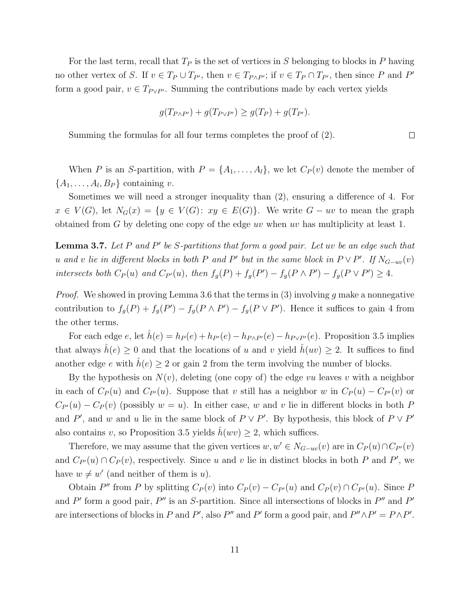For the last term, recall that  $T_P$  is the set of vertices in S belonging to blocks in P having no other vertex of S. If  $v \in T_P \cup T_{P'}$ , then  $v \in T_{P \wedge P'}$ ; if  $v \in T_P \cap T_{P'}$ , then since P and P' form a good pair,  $v \in T_{P \vee P'}$ . Summing the contributions made by each vertex yields

$$
g(T_{P\wedge P'}) + g(T_{P\vee P'}) \ge g(T_P) + g(T_{P'}).
$$

Summing the formulas for all four terms completes the proof of (2).

When P is an S-partition, with  $P = \{A_1, \ldots, A_l\}$ , we let  $C_P(v)$  denote the member of  $\{A_1, \ldots, A_l, B_P\}$  containing v.

Sometimes we will need a stronger inequality than (2), ensuring a difference of 4. For  $x \in V(G)$ , let  $N_G(x) = \{y \in V(G): xy \in E(G)\}.$  We write  $G - uv$  to mean the graph obtained from G by deleting one copy of the edge uv when uv has multiplicity at least 1.

Lemma 3.7. Let P and P' be S-partitions that form a good pair. Let uv be an edge such that *u* and *v* lie in different blocks in both P and P' but in the same block in  $P \vee P'$ . If  $N_{G-uv}(v)$ *intersects both*  $C_P(u)$  *and*  $C_{P'}(u)$ *, then*  $f_g(P) + f_g(P') - f_g(P \wedge P') - f_g(P \vee P') \geq 4$ *.* 

*Proof.* We showed in proving Lemma 3.6 that the terms in (3) involving g make a nonnegative contribution to  $f_g(P) + f_g(P') - f_g(P \wedge P') - f_g(P \vee P')$ . Hence it suffices to gain 4 from the other terms.

For each edge e, let  $\hat{h}(e) = h_P(e) + h_{P'}(e) - h_{P \wedge P'}(e) - h_{P \vee P'}(e)$ . Proposition 3.5 implies that always  $\hat{h}(e) \geq 0$  and that the locations of u and v yield  $\hat{h}(uv) \geq 2$ . It suffices to find another edge e with  $\hat{h}(e) \geq 2$  or gain 2 from the term involving the number of blocks.

By the hypothesis on  $N(v)$ , deleting (one copy of) the edge vu leaves v with a neighbor in each of  $C_P(u)$  and  $C_{P'}(u)$ . Suppose that v still has a neighbor w in  $C_P(u) - C_{P'}(v)$  or  $C_{P}(u) - C_{P}(v)$  (possibly  $w = u$ ). In either case, w and v lie in different blocks in both P and P', and w and u lie in the same block of  $P \vee P'$ . By hypothesis, this block of  $P \vee P'$ also contains v, so Proposition 3.5 yields  $\hat{h}(wv) \geq 2$ , which suffices.

Therefore, we may assume that the given vertices  $w, w' \in N_{G-uv}(v)$  are in  $C_P(u) \cap C_{P'}(v)$ and  $C_{P}(u) \cap C_P(v)$ , respectively. Since u and v lie in distinct blocks in both P and P', we have  $w \neq w'$  (and neither of them is u).

Obtain P'' from P by splitting  $C_P(v)$  into  $C_P(v) - C_{P'}(u)$  and  $C_P(v) \cap C_{P'}(u)$ . Since P and  $P'$  form a good pair,  $P''$  is an S-partition. Since all intersections of blocks in  $P''$  and  $P'$ are intersections of blocks in P and P', also P'' and P' form a good pair, and  $P'' \wedge P' = P \wedge P'$ .

 $\Box$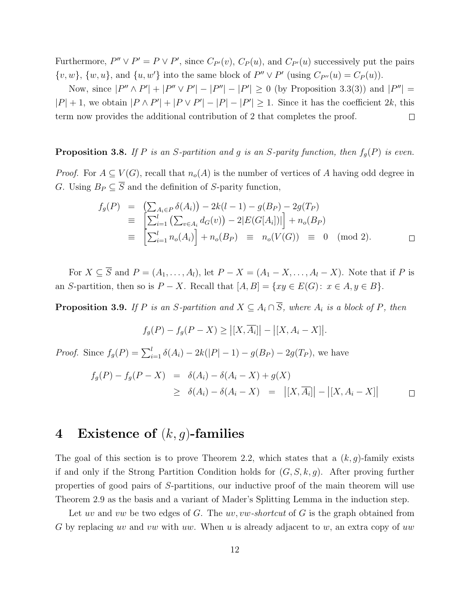Furthermore,  $P'' \vee P' = P \vee P'$ , since  $C_{P'}(v)$ ,  $C_P(u)$ , and  $C_{P'}(u)$  successively put the pairs  $\{v, w\}, \{w, u\}, \text{ and } \{u, w'\} \text{ into the same block of } P'' \vee P' \text{ (using } C_{P''}(u) = C_P(u)).$ 

Now, since  $|P'' \wedge P'| + |P'' \vee P'| - |P''| - |P'| \ge 0$  (by Proposition 3.3(3)) and  $|P''| =$  $|P| + 1$ , we obtain  $|P \wedge P'| + |P \vee P'| - |P| - |P'| \ge 1$ . Since it has the coefficient 2k, this term now provides the additional contribution of 2 that completes the proof.  $\Box$ 

### **Proposition 3.8.** If P is an S-partition and g is an S-parity function, then  $f_q(P)$  is even.

*Proof.* For  $A \subseteq V(G)$ , recall that  $n_o(A)$  is the number of vertices of A having odd degree in G. Using  $B_P \subseteq \overline{S}$  and the definition of S-parity function,

$$
f_g(P) = \left( \sum_{A_i \in P} \delta(A_i) \right) - 2k(l-1) - g(B_P) - 2g(T_P)
$$
  
\n
$$
\equiv \left[ \sum_{i=1}^l \left( \sum_{v \in A_i} d_G(v) \right) - 2|E(G[A_i])| \right] + n_o(B_P)
$$
  
\n
$$
\equiv \left[ \sum_{i=1}^l n_o(A_i) \right] + n_o(B_P) \equiv n_o(V(G)) \equiv 0 \pmod{2}.
$$

For  $X \subseteq \overline{S}$  and  $P = (A_1, \ldots, A_l)$ , let  $P - X = (A_1 - X, \ldots, A_l - X)$ . Note that if P is an S-partition, then so is  $P - X$ . Recall that  $[A, B] = \{xy \in E(G): x \in A, y \in B\}$ .

**Proposition 3.9.** *If* P *is an* S-partition and  $X \subseteq A_i \cap \overline{S}$ , where  $A_i$  *is a block of* P, then

$$
f_g(P) - f_g(P - X) \geq |[X, \overline{A_i}]| - |[X, A_i - X]|.
$$

*Proof.* Since  $f_g(P) = \sum_{i=1}^l \delta(A_i) - 2k(|P| - 1) - g(B_P) - 2g(T_P)$ , we have

$$
f_g(P) - f_g(P - X) = \delta(A_i) - \delta(A_i - X) + g(X)
$$
  
\n
$$
\geq \delta(A_i) - \delta(A_i - X) = |[X, \overline{A_i}]| - |[X, A_i - X]|
$$

## 4 Existence of  $(k, g)$ -families

The goal of this section is to prove Theorem 2.2, which states that a  $(k, g)$ -family exists if and only if the Strong Partition Condition holds for  $(G, S, k, g)$ . After proving further properties of good pairs of S-partitions, our inductive proof of the main theorem will use Theorem 2.9 as the basis and a variant of Mader's Splitting Lemma in the induction step.

Let uv and vw be two edges of G. The uv, vw-shortcut of G is the graph obtained from G by replacing uv and vw with uw. When u is already adjacent to w, an extra copy of uw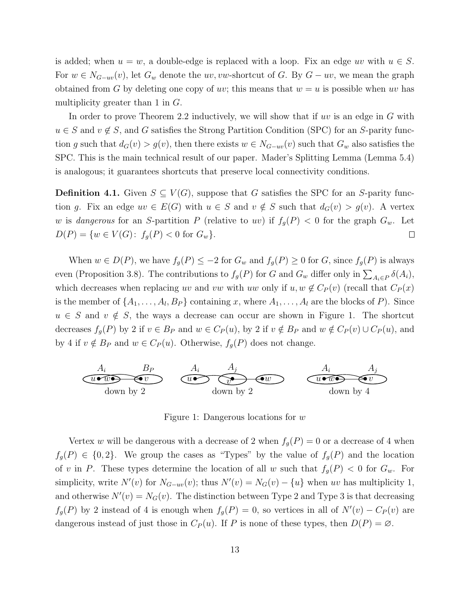is added; when  $u = w$ , a double-edge is replaced with a loop. Fix an edge uv with  $u \in S$ . For  $w \in N_{G-uv}(v)$ , let  $G_w$  denote the uv, vw-shortcut of G. By  $G - uv$ , we mean the graph obtained from G by deleting one copy of uv; this means that  $w = u$  is possible when uv has multiplicity greater than  $1$  in  $G$ .

In order to prove Theorem 2.2 inductively, we will show that if  $uv$  is an edge in G with  $u \in S$  and  $v \notin S$ , and G satisfies the Strong Partition Condition (SPC) for an S-parity function g such that  $d_G(v) > g(v)$ , then there exists  $w \in N_{G-uv}(v)$  such that  $G_w$  also satisfies the SPC. This is the main technical result of our paper. Mader's Splitting Lemma (Lemma 5.4) is analogous; it guarantees shortcuts that preserve local connectivity conditions.

**Definition 4.1.** Given  $S \subseteq V(G)$ , suppose that G satisfies the SPC for an S-parity function g. Fix an edge  $uv \in E(G)$  with  $u \in S$  and  $v \notin S$  such that  $d_G(v) > g(v)$ . A vertex w is *dangerous* for an S-partition P (relative to uv) if  $f_g(P) < 0$  for the graph  $G_w$ . Let  $D(P) = \{w \in V(G): f_g(P) < 0 \text{ for } G_w\}.$  $\Box$ 

When  $w \in D(P)$ , we have  $f_g(P) \leq -2$  for  $G_w$  and  $f_g(P) \geq 0$  for  $G$ , since  $f_g(P)$  is always even (Proposition 3.8). The contributions to  $f_g(P)$  for G and  $G_w$  differ only in  $\sum_{A_i \in P} \delta(A_i)$ , which decreases when replacing uv and vw with uw only if  $u, w \notin C_P(v)$  (recall that  $C_P(x)$ is the member of  $\{A_1, \ldots, A_l, B_P\}$  containing x, where  $A_1, \ldots, A_l$  are the blocks of P). Since  $u \in S$  and  $v \notin S$ , the ways a decrease can occur are shown in Figure 1. The shortcut decreases  $f_g(P)$  by 2 if  $v \in B_P$  and  $w \in C_P(u)$ , by 2 if  $v \notin B_P$  and  $w \notin C_P(v) \cup C_P(u)$ , and by 4 if  $v \notin B_P$  and  $w \in C_P(u)$ . Otherwise,  $f_g(P)$  does not change.

| $A_i$     | $B_P$     | $A_i$     | $A_j$     | $A_j$ | $A_j$ |
|-----------|-----------|-----------|-----------|-------|-------|
| down by 2 | down by 4 | down by 4 | down by 4 |       |       |

Figure 1: Dangerous locations for  $w$ 

Vertex w will be dangerous with a decrease of 2 when  $f_g(P) = 0$  or a decrease of 4 when  $f_g(P) \in \{0, 2\}$ . We group the cases as "Types" by the value of  $f_g(P)$  and the location of v in P. These types determine the location of all w such that  $f_g(P) < 0$  for  $G_w$ . For simplicity, write  $N'(v)$  for  $N_{G-uv}(v)$ ; thus  $N'(v) = N_G(v) - \{u\}$  when uv has multiplicity 1, and otherwise  $N'(v) = N_G(v)$ . The distinction between Type 2 and Type 3 is that decreasing  $f_g(P)$  by 2 instead of 4 is enough when  $f_g(P) = 0$ , so vertices in all of  $N'(v) - C_P(v)$  are dangerous instead of just those in  $C_P(u)$ . If P is none of these types, then  $D(P) = \emptyset$ .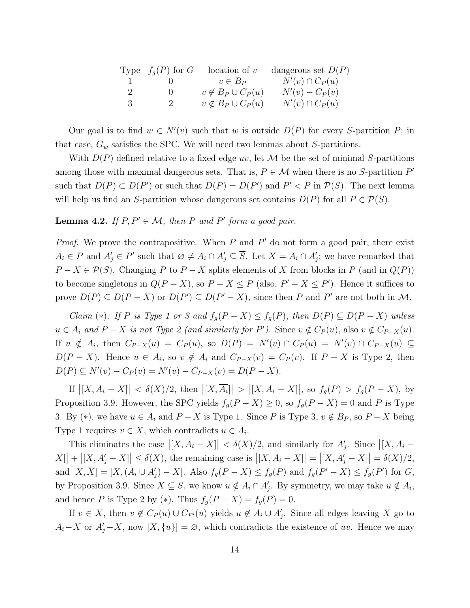|              | Type $f_q(P)$ for $G$ | location of v              | dangerous set $D(P)$ |
|--------------|-----------------------|----------------------------|----------------------|
| $\mathbf{1}$ |                       | $v \in B_P$                | $N'(v) \cap C_P(u)$  |
| -2           | $\theta$              | $v \notin B_P \cup C_P(u)$ | $N'(v) - C_P(v)$     |
| -3           | -2                    | $v \notin B_P \cup C_P(u)$ | $N'(v) \cap C_P(u)$  |

Our goal is to find  $w \in N'(v)$  such that w is outside  $D(P)$  for every S-partition P; in that case,  $G_w$  satisfies the SPC. We will need two lemmas about S-partitions.

With  $D(P)$  defined relative to a fixed edge uv, let M be the set of minimal S-partitions among those with maximal dangerous sets. That is,  $P \in \mathcal{M}$  when there is no S-partition  $P'$ such that  $D(P) \subset D(P')$  or such that  $D(P) = D(P')$  and  $P' < P$  in  $P(S)$ . The next lemma will help us find an S-partition whose dangerous set contains  $D(P)$  for all  $P \in \mathcal{P}(S)$ .

### **Lemma 4.2.** *If*  $P, P' \in \mathcal{M}$ *, then*  $P$  *and*  $P'$  *form a good pair.*

*Proof.* We prove the contrapositive. When  $P$  and  $P'$  do not form a good pair, there exist  $A_i \in P$  and  $A'_j \in P'$  such that  $\emptyset \neq A_i \cap A'_j \subseteq \overline{S}$ . Let  $X = A_i \cap A'_j$ ; we have remarked that  $P - X \in \mathcal{P}(S)$ . Changing P to  $P - X$  splits elements of X from blocks in P (and in  $Q(P)$ ) to become singletons in  $Q(P - X)$ , so  $P - X \leq P$  (also,  $P' - X \leq P'$ ). Hence it suffices to prove  $D(P) \subseteq D(P - X)$  or  $D(P') \subseteq D(P' - X)$ , since then P and P' are not both in M.

*Claim* (\*)*:* If P is Type 1 or 3 and  $f_q(P - X) \leq f_q(P)$ , then  $D(P) \subseteq D(P - X)$  unless  $u \in A_i$  and  $P - X$  is not Type 2 (and similarly for P'). Since  $v \notin C_P(u)$ , also  $v \notin C_{P-X}(u)$ . If  $u \notin A_i$ , then  $C_{P-X}(u) = C_P(u)$ , so  $D(P) = N'(v) \cap C_P(u) = N'(v) \cap C_{P-X}(u) \subseteq$  $D(P - X)$ . Hence  $u \in A_i$ , so  $v \notin A_i$  and  $C_{P-X}(v) = C_P(v)$ . If  $P-X$  is Type 2, then  $D(P) \subseteq N'(v) - C_P(v) = N'(v) - C_{P-X}(v) = D(P-X).$ 

If  $|[X, A_i - X]| < \delta(X)/2$ , then  $|[X, \overline{A_i}]| > |[X, A_i - X]|$ , so  $f_g(P) > f_g(P - X)$ , by Proposition 3.9. However, the SPC yields  $f_g(P - X) \ge 0$ , so  $f_g(P - X) = 0$  and P is Type 3. By (\*), we have  $u \in A_i$  and  $P - X$  is Type 1. Since P is Type 3,  $v \notin B_P$ , so  $P - X$  being Type 1 requires  $v \in X$ , which contradicts  $u \in A_i$ .

This eliminates the case  $|[X, A_i - X]| < \delta(X)/2$ , and similarly for  $A'_j$ . Since  $|[X, A_i - X]|$  $[X] + |[X, A'_{j} - X]| \le \delta(X)$ , the remaining case is  $|[X, A_{i} - X]| = |[X, A'_{j} - X]| = \delta(X)/2$ , and  $[X,\overline{X}] = [X,(A_i \cup A'_j) - X]$ . Also  $f_g(P - X) \leq f_g(P)$  and  $f_g(P' - X) \leq f_g(P')$  for  $G$ , by Proposition 3.9. Since  $X \subseteq \overline{S}$ , we know  $u \notin A_i \cap A'_j$ . By symmetry, we may take  $u \notin A_i$ , and hence P is Type 2 by (\*). Thus  $f_g(P - X) = f_g(P) = 0$ .

If  $v \in X$ , then  $v \notin C_P(u) \cup C_{P'}(u)$  yields  $u \notin A_i \cup A'_j$ . Since all edges leaving X go to  $A_i-X$  or  $A'_j-X$ , now  $[X,\{u\}] = \emptyset$ , which contradicts the existence of uv. Hence we may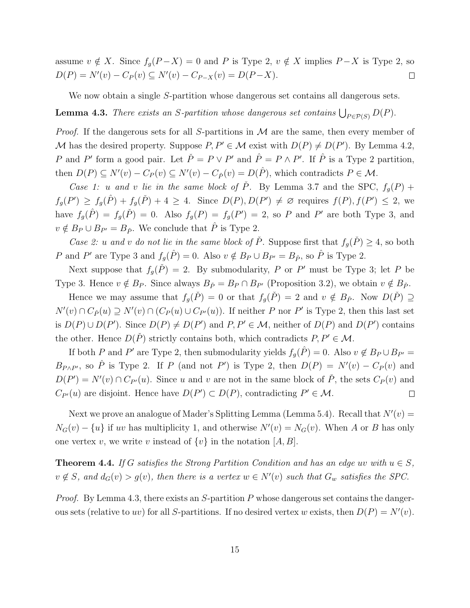assume  $v \notin X$ . Since  $f_g(P-X) = 0$  and P is Type 2,  $v \notin X$  implies  $P-X$  is Type 2, so  $D(P) = N'(v) - C_P(v) \subseteq N'(v) - C_{P-X}(v) = D(P-X).$  $\Box$ 

We now obtain a single S-partition whose dangerous set contains all dangerous sets.

**Lemma 4.3.** *There exists an S-partition whose dangerous set contains*  $\bigcup_{P \in \mathcal{P}(S)} D(P)$ .

*Proof.* If the dangerous sets for all S-partitions in  $M$  are the same, then every member of M has the desired property. Suppose  $P, P' \in \mathcal{M}$  exist with  $D(P) \neq D(P')$ . By Lemma 4.2, P and P' form a good pair. Let  $\check{P} = P \lor P'$  and  $\hat{P} = P \land P'$ . If  $\hat{P}$  is a Type 2 partition, then  $D(P) \subseteq N'(v) - C_P(v) \subseteq N'(v) - C_{\hat{P}}(v) = D(\hat{P})$ , which contradicts  $P \in \mathcal{M}$ .

*Case 1:* u and v lie in the same block of  $\check{P}$ . By Lemma 3.7 and the SPC,  $f_q(P)$  +  $f_g(P') \geq f_g(\hat{P}) + f_g(\check{P}) + 4 \geq 4$ . Since  $D(P), D(P') \neq \emptyset$  requires  $f(P), f(P') \leq 2$ , we have  $f_g(\hat{P}) = f_g(\check{P}) = 0$ . Also  $f_g(P) = f_g(P') = 2$ , so P and P' are both Type 3, and  $v \notin B_P \cup B_{P'} = B_{\hat{P}}$ . We conclude that  $\hat{P}$  is Type 2.

*Case 2:* u and v do not lie in the same block of  $\check{P}$ . Suppose first that  $f_q(\check{P}) \geq 4$ , so both P and P' are Type 3 and  $f_g(\hat{P}) = 0$ . Also  $v \notin B_P \cup B_{P'} = B_{\hat{P}}$ , so  $\hat{P}$  is Type 2.

Next suppose that  $f_g(\check{P}) = 2$ . By submodularity, P or P' must be Type 3; let P be Type 3. Hence  $v \notin B_P$ . Since always  $B_{\check{P}} = B_P \cap B_{P'}$  (Proposition 3.2), we obtain  $v \notin B_{\check{P}}$ .

Hence we may assume that  $f_g(\check{P}) = 0$  or that  $f_g(\check{P}) = 2$  and  $v \notin B_{\check{P}}$ . Now  $D(\check{P}) \supseteq$  $N'(v) \cap C_{\check{P}}(u) \supseteq N'(v) \cap (C_P(u) \cup C_{P'}(u))$ . If neither P nor P' is Type 2, then this last set is  $D(P) \cup D(P')$ . Since  $D(P) \neq D(P')$  and  $P, P' \in \mathcal{M}$ , neither of  $D(P)$  and  $D(P')$  contains the other. Hence  $D(\check{P})$  strictly contains both, which contradicts  $P, P' \in \mathcal{M}$ .

If both P and P' are Type 2, then submodularity yields  $f_g(\hat{P}) = 0$ . Also  $v \notin B_P \cup B_{P'} = 0$  $B_{P\wedge P'}$ , so  $\hat{P}$  is Type 2. If P (and not P') is Type 2, then  $D(P) = N'(v) - C_P(v)$  and  $D(P') = N'(v) \cap C_{P'}(u)$ . Since u and v are not in the same block of  $\check{P}$ , the sets  $C_P(v)$  and  $C_{P'}(u)$  are disjoint. Hence have  $D(P') \subset D(P)$ , contradicting  $P' \in \mathcal{M}$ .  $\Box$ 

Next we prove an analogue of Mader's Splitting Lemma (Lemma 5.4). Recall that  $N'(v) =$  $N_G(v) - \{u\}$  if uv has multiplicity 1, and otherwise  $N'(v) = N_G(v)$ . When A or B has only one vertex v, we write v instead of  $\{v\}$  in the notation  $[A, B]$ .

**Theorem 4.4.** *If* G *satisfies the Strong Partition Condition and has an edge wv with*  $u \in S$ ,  $v \notin S$ , and  $d_G(v) > g(v)$ , then there is a vertex  $w \in N'(v)$  such that  $G_w$  satisfies the SPC.

*Proof.* By Lemma 4.3, there exists an  $S$ -partition  $P$  whose dangerous set contains the dangerous sets (relative to uv) for all S-partitions. If no desired vertex w exists, then  $D(P) = N'(v)$ .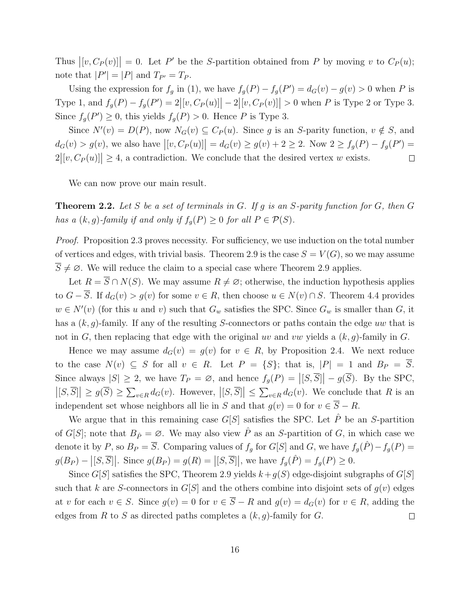Thus  $|[v, C_P(v)]| = 0$ . Let P' be the S-partition obtained from P by moving v to  $C_P(u)$ ; note that  $|P'| = |P|$  and  $T_{P'} = T_P$ .

Using the expression for  $f_g$  in (1), we have  $f_g(P) - f_g(P') = d_G(v) - g(v) > 0$  when P is Type 1, and  $f_g(P) - f_g(P') = 2 |[v, C_P(u)]| - 2 |[v, C_P(v)]| > 0$  when P is Type 2 or Type 3. Since  $f_g(P') \geq 0$ , this yields  $f_g(P) > 0$ . Hence P is Type 3.

Since  $N'(v) = D(P)$ , now  $N_G(v) \subseteq C_P(u)$ . Since g is an S-parity function,  $v \notin S$ , and  $d_G(v) > g(v)$ , we also have  $|[v, C_P(u)]| = d_G(v) \ge g(v) + 2 \ge 2$ . Now  $2 \ge f_g(P) - f_g(P') =$  $2|[v, C_P(u)]| \ge 4$ , a contradiction. We conclude that the desired vertex w exists.  $\Box$ 

We can now prove our main result.

Theorem 2.2. *Let* S *be a set of terminals in* G*. If* g *is an* S*-parity function for* G*, then* G *has a*  $(k, g)$ -family if and only if  $f_q(P) \geq 0$  for all  $P \in \mathcal{P}(S)$ *.* 

*Proof.* Proposition 2.3 proves necessity. For sufficiency, we use induction on the total number of vertices and edges, with trivial basis. Theorem 2.9 is the case  $S = V(G)$ , so we may assume  $\overline{S} \neq \emptyset$ . We will reduce the claim to a special case where Theorem 2.9 applies.

Let  $R = \overline{S} \cap N(S)$ . We may assume  $R \neq \emptyset$ ; otherwise, the induction hypothesis applies to  $G - \overline{S}$ . If  $d_G(v) > g(v)$  for some  $v \in R$ , then choose  $u \in N(v) \cap S$ . Theorem 4.4 provides  $w \in N'(v)$  (for this u and v) such that  $G_w$  satisfies the SPC. Since  $G_w$  is smaller than G, it has a  $(k, g)$ -family. If any of the resulting S-connectors or paths contain the edge uw that is not in G, then replacing that edge with the original uv and vw yields a  $(k, g)$ -family in G.

Hence we may assume  $d_G(v) = g(v)$  for  $v \in R$ , by Proposition 2.4. We next reduce to the case  $N(v) \subseteq S$  for all  $v \in R$ . Let  $P = \{S\}$ ; that is,  $|P| = 1$  and  $B_P = \overline{S}$ . Since always  $|S| \ge 2$ , we have  $T_P = \emptyset$ , and hence  $f_g(P) = |[S, \overline{S}]| - g(\overline{S})$ . By the SPC,  $|[S,\overline{S}]|\geq g(\overline{S})\geq \sum_{v\in R}d_G(v)$ . However,  $|[S,\overline{S}]|\leq \sum_{v\in R}d_G(v)$ . We conclude that R is an independent set whose neighbors all lie in S and that  $g(v) = 0$  for  $v \in \overline{S} - R$ .

We argue that in this remaining case  $G[S]$  satisfies the SPC. Let  $\hat{P}$  be an S-partition of G[S]; note that  $B_{\hat{P}} = \emptyset$ . We may also view  $\hat{P}$  as an S-partition of G, in which case we denote it by P, so  $B_P = \overline{S}$ . Comparing values of  $f_g$  for  $G[S]$  and G, we have  $f_g(\hat{P}) - f_g(P) =$  $g(B_P) - |[S,\overline{S}]|$ . Since  $g(B_P) = g(R) = |[S,\overline{S}]|$ , we have  $f_g(\hat{P}) = f_g(P) \ge 0$ .

Since G[S] satisfies the SPC, Theorem 2.9 yields  $k+g(S)$  edge-disjoint subgraphs of G[S] such that k are S-connectors in  $G[S]$  and the others combine into disjoint sets of  $g(v)$  edges at v for each  $v \in S$ . Since  $g(v) = 0$  for  $v \in \overline{S} - R$  and  $g(v) = d_G(v)$  for  $v \in R$ , adding the edges from R to S as directed paths completes a  $(k, q)$ -family for G.  $\Box$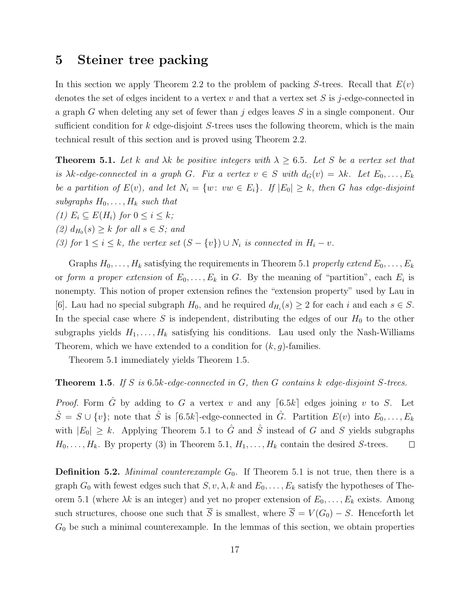## 5 Steiner tree packing

In this section we apply Theorem 2.2 to the problem of packing S-trees. Recall that  $E(v)$ denotes the set of edges incident to a vertex v and that a vertex set S is j-edge-connected in a graph G when deleting any set of fewer than  $j$  edges leaves  $S$  in a single component. Our sufficient condition for  $k$  edge-disjoint  $S$ -trees uses the following theorem, which is the main technical result of this section and is proved using Theorem 2.2.

**Theorem 5.1.** Let k and  $\lambda k$  be positive integers with  $\lambda \geq 6.5$ . Let S be a vertex set that *is*  $\lambda k$ -edge-connected in a graph G. Fix a vertex  $v \in S$  with  $d_G(v) = \lambda k$ . Let  $E_0, \ldots, E_k$ *be a partition of*  $E(v)$ *, and let*  $N_i = \{w: vw \in E_i\}$ *. If*  $|E_0| \geq k$ *, then* G *has edge-disjoint subgraphs*  $H_0, \ldots, H_k$  *such that (1)*  $E_i \subseteq E(H_i)$  *for*  $0 \leq i \leq k$ *;* 

 $(2)$   $d_{H_0}(s) \geq k$  *for all*  $s \in S$ *; and* 

*(3) for*  $1 \leq i \leq k$ *, the vertex set*  $(S - \{v\}) \cup N_i$  *is connected in*  $H_i - v$ *.* 

Graphs  $H_0, \ldots, H_k$  satisfying the requirements in Theorem 5.1 *properly extend*  $E_0, \ldots, E_k$ or *form a proper extension* of  $E_0, \ldots, E_k$  in G. By the meaning of "partition", each  $E_i$  is nonempty. This notion of proper extension refines the "extension property" used by Lau in [6]. Lau had no special subgraph  $H_0$ , and he required  $d_{H_i}(s) \geq 2$  for each i and each  $s \in S$ . In the special case where S is independent, distributing the edges of our  $H_0$  to the other subgraphs yields  $H_1, \ldots, H_k$  satisfying his conditions. Lau used only the Nash-Williams Theorem, which we have extended to a condition for  $(k, q)$ -families.

Theorem 5.1 immediately yields Theorem 1.5.

#### Theorem 1.5*. If* S *is* 6.5k*-edge-connected in* G*, then* G *contains* k *edge-disjoint* S*-trees.*

*Proof.* Form  $\tilde{G}$  by adding to  $G$  a vertex  $v$  and any  $[6.5k]$  edges joining  $v$  to  $S$ . Let  $\hat{S} = S \cup \{v\}$ ; note that  $\hat{S}$  is [6.5k]-edge-connected in  $\hat{G}$ . Partition  $E(v)$  into  $E_0, \ldots, E_k$ with  $|E_0| \geq k$ . Applying Theorem 5.1 to  $\hat{G}$  and  $\hat{S}$  instead of G and S yields subgraphs  $H_0, \ldots, H_k$ . By property (3) in Theorem 5.1,  $H_1, \ldots, H_k$  contain the desired S-trees.  $\Box$ 

**Definition 5.2.** *Minimal counterexample*  $G_0$ . If Theorem 5.1 is not true, then there is a graph  $G_0$  with fewest edges such that  $S, v, \lambda, k$  and  $E_0, \ldots, E_k$  satisfy the hypotheses of Theorem 5.1 (where  $\lambda k$  is an integer) and yet no proper extension of  $E_0, \ldots, E_k$  exists. Among such structures, choose one such that  $\overline{S}$  is smallest, where  $\overline{S} = V(G_0) - S$ . Henceforth let  $G_0$  be such a minimal counterexample. In the lemmas of this section, we obtain properties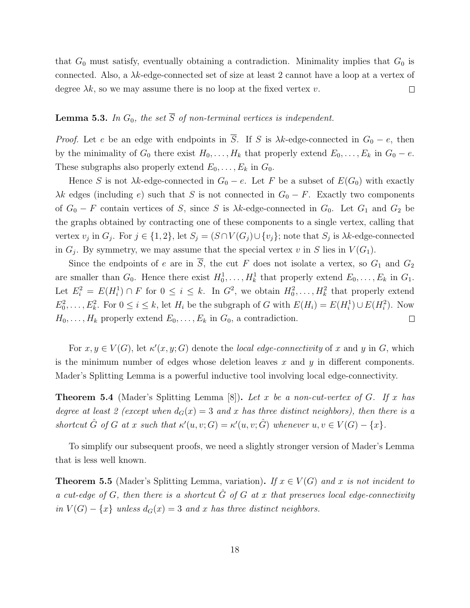that  $G_0$  must satisfy, eventually obtaining a contradiction. Minimality implies that  $G_0$  is connected. Also, a  $\lambda k$ -edge-connected set of size at least 2 cannot have a loop at a vertex of degree  $\lambda k$ , so we may assume there is no loop at the fixed vertex v.  $\Box$ 

### **Lemma 5.3.** In  $G_0$ , the set  $\overline{S}$  of non-terminal vertices is independent.

*Proof.* Let e be an edge with endpoints in  $\overline{S}$ . If S is  $\lambda k$ -edge-connected in  $G_0 - e$ , then by the minimality of  $G_0$  there exist  $H_0, \ldots, H_k$  that properly extend  $E_0, \ldots, E_k$  in  $G_0 - e$ . These subgraphs also properly extend  $E_0, \ldots, E_k$  in  $G_0$ .

Hence S is not  $\lambda k$ -edge-connected in  $G_0 - e$ . Let F be a subset of  $E(G_0)$  with exactly  $\lambda k$  edges (including e) such that S is not connected in  $G_0 - F$ . Exactly two components of  $G_0 - F$  contain vertices of S, since S is  $\lambda k$ -edge-connected in  $G_0$ . Let  $G_1$  and  $G_2$  be the graphs obtained by contracting one of these components to a single vertex, calling that vertex  $v_j$  in  $G_j$ . For  $j \in \{1,2\}$ , let  $S_j = (S \cap V(G_j) \cup \{v_j\})$ ; note that  $S_j$  is  $\lambda k$ -edge-connected in  $G_j$ . By symmetry, we may assume that the special vertex v in S lies in  $V(G_1)$ .

Since the endpoints of e are in  $\overline{S}$ , the cut F does not isolate a vertex, so  $G_1$  and  $G_2$ are smaller than  $G_0$ . Hence there exist  $H_0^1, \ldots, H_k^1$  that properly extend  $E_0, \ldots, E_k$  in  $G_1$ . Let  $E_i^2 = E(H_i^1) \cap F$  for  $0 \le i \le k$ . In  $G^2$ , we obtain  $H_0^2, \ldots, H_k^2$  that properly extend  $E_0^2, \ldots, E_k^2$ . For  $0 \le i \le k$ , let  $H_i$  be the subgraph of G with  $E(H_i) = E(H_i^1) \cup E(H_i^2)$ . Now  $H_0, \ldots, H_k$  properly extend  $E_0, \ldots, E_k$  in  $G_0$ , a contradiction.  $\Box$ 

For  $x, y \in V(G)$ , let  $\kappa'(x, y; G)$  denote the *local edge-connectivity* of x and y in G, which is the minimum number of edges whose deletion leaves  $x$  and  $y$  in different components. Mader's Splitting Lemma is a powerful inductive tool involving local edge-connectivity.

Theorem 5.4 (Mader's Splitting Lemma [8]). *Let* x *be a non-cut-vertex of* G*. If* x *has degree at least 2 (except when*  $d_G(x) = 3$  *and* x has three distinct neighbors), then there is a  $shortcut \hat{G}$  of  $G$  at  $x$  such that  $\kappa'(u,v;G) = \kappa'(u,v; \hat{G})$  whenever  $u,v \in V(G) - \{x\}.$ 

To simplify our subsequent proofs, we need a slightly stronger version of Mader's Lemma that is less well known.

**Theorem 5.5** (Mader's Splitting Lemma, variation). *If*  $x \in V(G)$  *and* x *is not incident to a cut-edge of* G, then there is a shortcut  $\hat{G}$  of G at x that preserves local edge-connectivity  $in V(G) - \{x\}$  *unless*  $d_G(x) = 3$  *and* x *has three distinct neighbors.*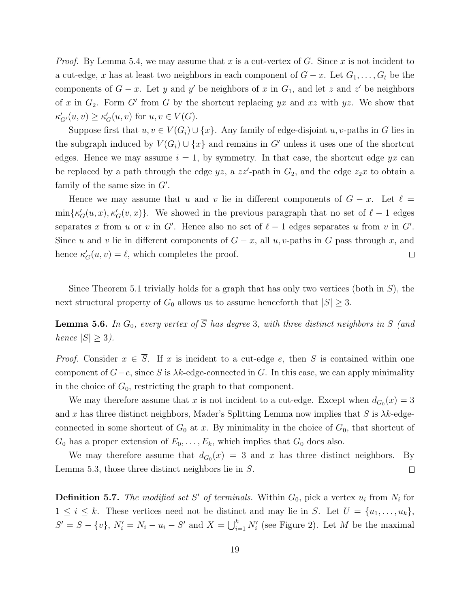*Proof.* By Lemma 5.4, we may assume that x is a cut-vertex of G. Since x is not incident to a cut-edge, x has at least two neighbors in each component of  $G - x$ . Let  $G_1, \ldots, G_t$  be the components of  $G - x$ . Let y and y' be neighbors of x in  $G_1$ , and let z and z' be neighbors of x in  $G_2$ . Form G' from G by the shortcut replacing yx and xz with yz. We show that  $\kappa'_{G'}(u,v) \geq \kappa'_{G}(u,v)$  for  $u,v \in V(G)$ .

Suppose first that  $u, v \in V(G_i) \cup \{x\}$ . Any family of edge-disjoint  $u, v$ -paths in G lies in the subgraph induced by  $V(G_i) \cup \{x\}$  and remains in G' unless it uses one of the shortcut edges. Hence we may assume  $i = 1$ , by symmetry. In that case, the shortcut edge yx can be replaced by a path through the edge  $yz$ , a  $zz'$ -path in  $G_2$ , and the edge  $z_2x$  to obtain a family of the same size in  $G'$ .

Hence we may assume that u and v lie in different components of  $G - x$ . Let  $\ell =$  $\min\{\kappa'_{G}(u,x),\kappa'_{G}(v,x)\}\.$  We showed in the previous paragraph that no set of  $\ell-1$  edges separates x from u or v in G'. Hence also no set of  $\ell-1$  edges separates u from v in G'. Since u and v lie in different components of  $G - x$ , all u, v-paths in G pass through x, and hence  $\kappa'_G(u, v) = \ell$ , which completes the proof.  $\Box$ 

Since Theorem 5.1 trivially holds for a graph that has only two vertices (both in  $S$ ), the next structural property of  $G_0$  allows us to assume henceforth that  $|S| \geq 3$ .

**Lemma 5.6.** In  $G_0$ , every vertex of  $\overline{S}$  has degree 3, with three distinct neighbors in S (and *hence*  $|S| \geq 3$ *).* 

*Proof.* Consider  $x \in \overline{S}$ . If x is incident to a cut-edge e, then S is contained within one component of  $G-e$ , since S is  $\lambda k$ -edge-connected in G. In this case, we can apply minimality in the choice of  $G_0$ , restricting the graph to that component.

We may therefore assume that x is not incident to a cut-edge. Except when  $d_{G_0}(x) = 3$ and x has three distinct neighbors, Mader's Splitting Lemma now implies that S is  $\lambda k$ -edgeconnected in some shortcut of  $G_0$  at x. By minimality in the choice of  $G_0$ , that shortcut of  $G_0$  has a proper extension of  $E_0, \ldots, E_k$ , which implies that  $G_0$  does also.

We may therefore assume that  $d_{G_0}(x) = 3$  and x has three distinct neighbors. By Lemma 5.3, those three distinct neighbors lie in S.  $\Box$ 

**Definition 5.7.** The modified set S' of terminals. Within  $G_0$ , pick a vertex  $u_i$  from  $N_i$  for  $1 \leq i \leq k$ . These vertices need not be distinct and may lie in S. Let  $U = \{u_1, \ldots, u_k\},\$  $S' = S - \{v\}, N'_i = N_i - u_i - S'$  and  $X = \bigcup_{i=1}^k N'_i$  (see Figure 2). Let M be the maximal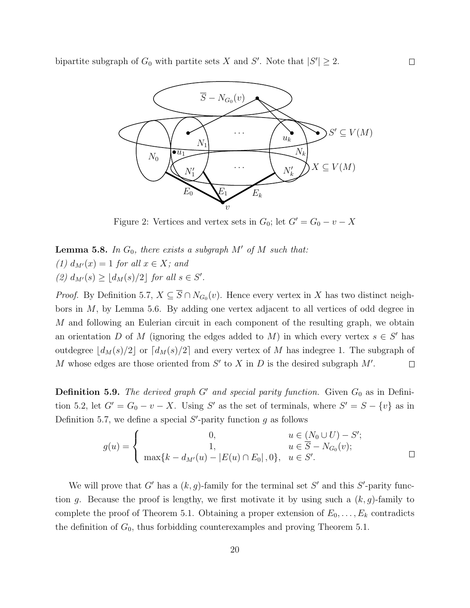

Figure 2: Vertices and vertex sets in  $G_0$ ; let  $G' = G_0 - v - X$ 

**Lemma 5.8.** In  $G_0$ , there exists a subgraph M' of M such that:  $(1)$   $d_{M'}(x) = 1$  *for all*  $x \in X$ *; and*  $(2) d_{M'}(s) \geq \lfloor d_M(s)/2 \rfloor$  *for all*  $s \in S'.$ 

*Proof.* By Definition 5.7,  $X \subseteq S \cap N_{G_0}(v)$ . Hence every vertex in X has two distinct neighbors in  $M$ , by Lemma 5.6. By adding one vertex adjacent to all vertices of odd degree in M and following an Eulerian circuit in each component of the resulting graph, we obtain an orientation D of M (ignoring the edges added to M) in which every vertex  $s \in S'$  has outdegree  $|d_M(s)/2|$  or  $\lceil d_M(s)/2 \rceil$  and every vertex of M has indegree 1. The subgraph of M whose edges are those oriented from  $S'$  to  $X$  in  $D$  is the desired subgraph  $M'$ .  $\Box$ 

**Definition 5.9.** *The derived graph*  $G'$  *and special parity function.* Given  $G_0$  as in Definition 5.2, let  $G' = G_0 - v - X$ . Using S' as the set of terminals, where  $S' = S - \{v\}$  as in Definition 5.7, we define a special  $S'$ -parity function  $g$  as follows

$$
g(u) = \begin{cases} 0, & u \in (N_0 \cup U) - S'; \\ 1, & u \in \overline{S} - N_{G_0}(v); \\ \max\{k - d_{M'}(u) - |E(u) \cap E_0|, 0\}, & u \in S'. \end{cases}
$$

We will prove that G' has a  $(k, g)$ -family for the terminal set S' and this S'-parity function g. Because the proof is lengthy, we first motivate it by using such a  $(k, g)$ -family to complete the proof of Theorem 5.1. Obtaining a proper extension of  $E_0, \ldots, E_k$  contradicts the definition of  $G_0$ , thus forbidding counterexamples and proving Theorem 5.1.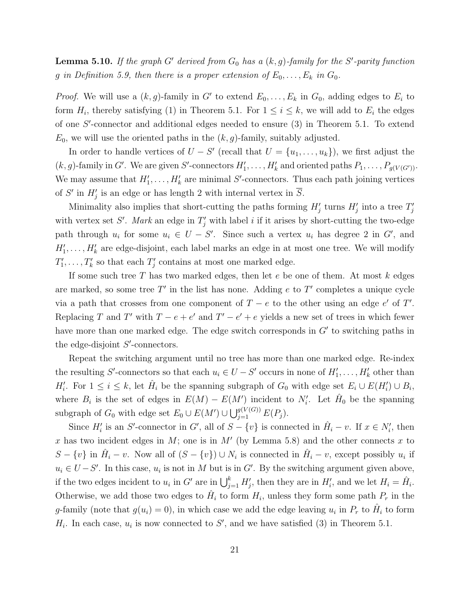**Lemma 5.10.** If the graph G' derived from  $G_0$  has a  $(k, g)$ -family for the S'-parity function g in Definition 5.9, then there is a proper extension of  $E_0, \ldots, E_k$  in  $G_0$ .

*Proof.* We will use a  $(k, g)$ -family in G' to extend  $E_0, \ldots, E_k$  in  $G_0$ , adding edges to  $E_i$  to form  $H_i$ , thereby satisfying (1) in Theorem 5.1. For  $1 \leq i \leq k$ , we will add to  $E_i$  the edges of one S ′ -connector and additional edges needed to ensure (3) in Theorem 5.1. To extend  $E_0$ , we will use the oriented paths in the  $(k, g)$ -family, suitably adjusted.

In order to handle vertices of  $U - S'$  (recall that  $U = \{u_1, \ldots, u_k\}$ ), we first adjust the  $(k, g)$ -family in G'. We are given S'-connectors  $H'_1, \ldots, H'_k$  and oriented paths  $P_1, \ldots, P_{g(V(G'))}$ . We may assume that  $H'_1, \ldots, H'_k$  are minimal S'-connectors. Thus each path joining vertices of S' in  $H'_j$  is an edge or has length 2 with internal vertex in  $\overline{S}$ .

Minimality also implies that short-cutting the paths forming  $H'_{j}$  turns  $H'_{j}$  into a tree  $T'_{j}$ with vertex set  $S'$ . Mark an edge in  $T'_{j}$  with label i if it arises by short-cutting the two-edge path through  $u_i$  for some  $u_i \in U - S'$ . Since such a vertex  $u_i$  has degree 2 in G', and  $H'_1, \ldots, H'_k$  are edge-disjoint, each label marks an edge in at most one tree. We will modify  $T'_1, \ldots, T'_k$  so that each  $T'_j$  contains at most one marked edge.

If some such tree T has two marked edges, then let  $e$  be one of them. At most  $k$  edges are marked, so some tree  $T'$  in the list has none. Adding  $e$  to  $T'$  completes a unique cycle via a path that crosses from one component of  $T - e$  to the other using an edge e' of T'. Replacing T and T' with  $T - e + e'$  and  $T' - e' + e$  yields a new set of trees in which fewer have more than one marked edge. The edge switch corresponds in  $G'$  to switching paths in the edge-disjoint  $S'$ -connectors.

Repeat the switching argument until no tree has more than one marked edge. Re-index the resulting S'-connectors so that each  $u_i \in U - S'$  occurs in none of  $H'_1, \ldots, H'_k$  other than  $H'_i$ . For  $1 \leq i \leq k$ , let  $\hat{H}_i$  be the spanning subgraph of  $G_0$  with edge set  $E_i \cup E(H'_i) \cup B_i$ , where  $B_i$  is the set of edges in  $E(M) - E(M')$  incident to  $N'_i$ . Let  $\hat{H}_0$  be the spanning subgraph of  $G_0$  with edge set  $E_0 \cup E(M') \cup \bigcup_{j=1}^{g(V(G))} E(P_j)$ .

Since  $H'_i$  is an S'-connector in G', all of  $S - \{v\}$  is connected in  $\hat{H}_i - v$ . If  $x \in N'_i$ , then x has two incident edges in M; one is in M' (by Lemma 5.8) and the other connects x to  $S - \{v\}$  in  $\hat{H}_i - v$ . Now all of  $(S - \{v\}) \cup N_i$  is connected in  $\hat{H}_i - v$ , except possibly  $u_i$  if  $u_i \in U - S'$ . In this case,  $u_i$  is not in M but is in G'. By the switching argument given above, if the two edges incident to  $u_i$  in G' are in  $\bigcup_{j=1}^k H'_j$ , then they are in  $H'_i$ , and we let  $H_i = \hat{H}_i$ . Otherwise, we add those two edges to  $\hat{H}_i$  to form  $H_i$ , unless they form some path  $P_r$  in the g-family (note that  $g(u_i) = 0$ ), in which case we add the edge leaving  $u_i$  in  $P_r$  to  $\hat{H}_i$  to form  $H_i$ . In each case,  $u_i$  is now connected to S', and we have satisfied (3) in Theorem 5.1.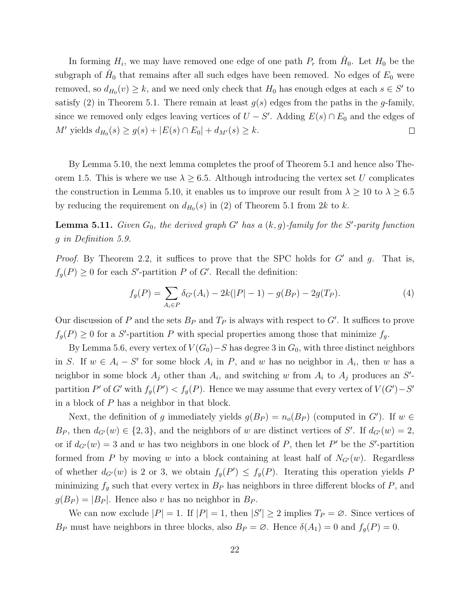In forming  $H_i$ , we may have removed one edge of one path  $P_r$  from  $\hat{H}_0$ . Let  $H_0$  be the subgraph of  $\hat{H}_0$  that remains after all such edges have been removed. No edges of  $E_0$  were removed, so  $d_{H_0}(v) \geq k$ , and we need only check that  $H_0$  has enough edges at each  $s \in S'$  to satisfy (2) in Theorem 5.1. There remain at least  $g(s)$  edges from the paths in the g-family, since we removed only edges leaving vertices of  $U - S'$ . Adding  $E(s) \cap E_0$  and the edges of  $M'$  yields  $d_{H_0}(s) \ge g(s) + |E(s) \cap E_0| + d_{M'}(s) \ge k$ .  $\Box$ 

By Lemma 5.10, the next lemma completes the proof of Theorem 5.1 and hence also Theorem 1.5. This is where we use  $\lambda \geq 6.5$ . Although introducing the vertex set U complicates the construction in Lemma 5.10, it enables us to improve our result from  $\lambda \ge 10$  to  $\lambda \ge 6.5$ by reducing the requirement on  $d_{H_0}(s)$  in (2) of Theorem 5.1 from 2k to k.

**Lemma 5.11.** *Given*  $G_0$ *, the derived graph*  $G'$  *has a*  $(k, g)$ -family for the  $S'$ -parity function g *in Definition 5.9.*

*Proof.* By Theorem 2.2, it suffices to prove that the SPC holds for  $G'$  and  $g$ . That is,  $f_g(P) \geq 0$  for each S'-partition P of G'. Recall the definition:

$$
f_g(P) = \sum_{A_i \in P} \delta_{G'}(A_i) - 2k(|P| - 1) - g(B_P) - 2g(T_P).
$$
 (4)

Our discussion of P and the sets  $B_P$  and  $T_P$  is always with respect to G'. It suffices to prove  $f_g(P) \geq 0$  for a S'-partition P with special properties among those that minimize  $f_g$ .

By Lemma 5.6, every vertex of  $V(G_0)-S$  has degree 3 in  $G_0$ , with three distinct neighbors in S. If  $w \in A_i - S'$  for some block  $A_i$  in P, and w has no neighbor in  $A_i$ , then w has a neighbor in some block  $A_j$  other than  $A_i$ , and switching w from  $A_i$  to  $A_j$  produces an S'partition P' of G' with  $f_g(P') < f_g(P)$ . Hence we may assume that every vertex of  $V(G') - S'$ in a block of P has a neighbor in that block.

Next, the definition of g immediately yields  $g(B_P) = n_o(B_P)$  (computed in G'). If  $w \in$  $B_P$ , then  $d_{G'}(w) \in \{2,3\}$ , and the neighbors of w are distinct vertices of S'. If  $d_{G'}(w) = 2$ , or if  $d_{G'}(w) = 3$  and w has two neighbors in one block of P, then let P' be the S'-partition formed from P by moving w into a block containing at least half of  $N_{G'}(w)$ . Regardless of whether  $d_{G'}(w)$  is 2 or 3, we obtain  $f_g(P') \leq f_g(P)$ . Iterating this operation yields P minimizing  $f<sub>g</sub>$  such that every vertex in  $B<sub>P</sub>$  has neighbors in three different blocks of P, and  $g(B_P) = |B_P|$ . Hence also v has no neighbor in  $B_P$ .

We can now exclude  $|P| = 1$ . If  $|P| = 1$ , then  $|S'| \ge 2$  implies  $T_P = \emptyset$ . Since vertices of  $B_P$  must have neighbors in three blocks, also  $B_P = \emptyset$ . Hence  $\delta(A_1) = 0$  and  $f_g(P) = 0$ .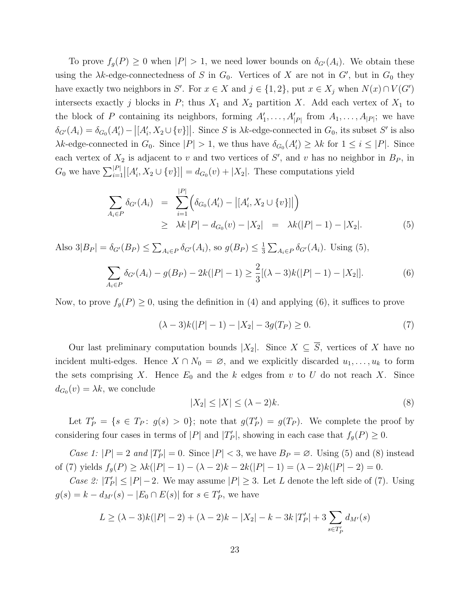To prove  $f_g(P) \geq 0$  when  $|P| > 1$ , we need lower bounds on  $\delta_{G'}(A_i)$ . We obtain these using the  $\lambda k$ -edge-connectedness of S in  $G_0$ . Vertices of X are not in  $G'$ , but in  $G_0$  they have exactly two neighbors in S'. For  $x \in X$  and  $j \in \{1,2\}$ , put  $x \in X_j$  when  $N(x) \cap V(G')$ intersects exactly j blocks in  $P$ ; thus  $X_1$  and  $X_2$  partition X. Add each vertex of  $X_1$  to the block of P containing its neighbors, forming  $A'_1, \ldots, A'_{|P|}$  from  $A_1, \ldots, A_{|P|}$ ; we have  $\delta_{G'}(A_i) = \delta_{G_0}(A'_i) - |[A'_i, X_2 \cup \{v\}]|$ . Since S is  $\lambda k$ -edge-connected in  $G_0$ , its subset S' is also  $\lambda k$ -edge-connected in  $G_0$ . Since  $|P| > 1$ , we thus have  $\delta_{G_0}(A'_i) \geq \lambda k$  for  $1 \leq i \leq |P|$ . Since each vertex of  $X_2$  is adjacent to v and two vertices of  $S'$ , and v has no neighbor in  $B_P$ , in  $G_0$  we have  $\sum_{i=1}^{|P|} |[A'_i, X_2 \cup \{v\}]| = d_{G_0}(v) + |X_2|$ . These computations yield

$$
\sum_{A_i \in P} \delta_{G'}(A_i) = \sum_{i=1}^{|P|} \Big( \delta_{G_0}(A'_i) - |[A'_i, X_2 \cup \{v\}|] \Big) \geq \lambda k |P| - d_{G_0}(v) - |X_2| = \lambda k(|P| - 1) - |X_2|.
$$
\n(5)

Also  $3|B_P| = \delta_{G'}(B_P) \le \sum_{A_i \in P} \delta_{G'}(A_i)$ , so  $g(B_P) \le \frac{1}{3}$  $\frac{1}{3}\sum_{A_i\in P}\delta_{G'}(A_i)$ . Using (5),

$$
\sum_{A_i \in P} \delta_{G'}(A_i) - g(B_P) - 2k(|P| - 1) \ge \frac{2}{3} [(\lambda - 3)k(|P| - 1) - |X_2|]. \tag{6}
$$

Now, to prove  $f_g(P) \geq 0$ , using the definition in (4) and applying (6), it suffices to prove

$$
(\lambda - 3)k(|P| - 1) - |X_2| - 3g(T_P) \ge 0.
$$
\n(7)

Our last preliminary computation bounds  $|X_2|$ . Since  $X \subseteq \overline{S}$ , vertices of X have no incident multi-edges. Hence  $X \cap N_0 = \emptyset$ , and we explicitly discarded  $u_1, \ldots, u_k$  to form the sets comprising X. Hence  $E_0$  and the k edges from v to U do not reach X. Since  $d_{G_0}(v) = \lambda k$ , we conclude

$$
|X_2| \le |X| \le (\lambda - 2)k. \tag{8}
$$

Let  $T_P' = \{ s \in T_P : g(s) > 0 \}$ ; note that  $g(T_P') = g(T_P)$ . We complete the proof by considering four cases in terms of  $|P|$  and  $|T'_P|$ , showing in each case that  $f_g(P) \ge 0$ .

*Case 1:*  $|P| = 2$  *and*  $|T'_P| = 0$ . Since  $|P| < 3$ , we have  $B_P = \emptyset$ . Using (5) and (8) instead of (7) yields  $f_g(P) \ge \lambda k(|P|-1) - (\lambda - 2)k - 2k(|P|-1) = (\lambda - 2)k(|P|-2) = 0.$ 

*Case 2:*  $|T'_P| \leq |P| - 2$ . We may assume  $|P| \geq 3$ . Let L denote the left side of (7). Using  $g(s) = k - d_{M'}(s) - |E_0 \cap E(s)|$  for  $s \in T_P'$ , we have

$$
L \ge (\lambda - 3)k(|P| - 2) + (\lambda - 2)k - |X_2| - k - 3k|T'_P| + 3\sum_{s \in T'_P} d_{M'}(s)
$$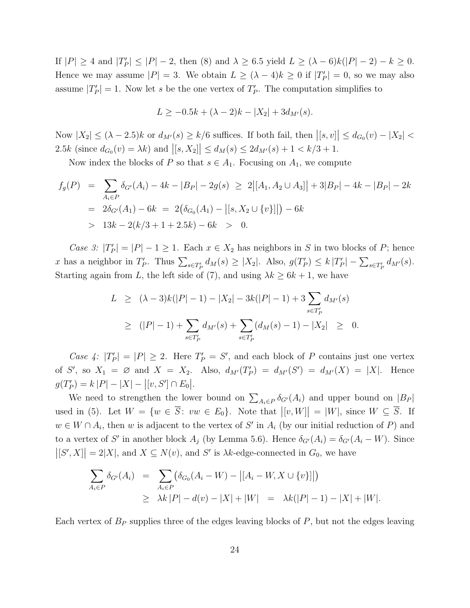If  $|P| \ge 4$  and  $|T'_P| \le |P|-2$ , then (8) and  $\lambda \ge 6.5$  yield  $L \ge (\lambda - 6)k(|P|-2) - k \ge 0$ . Hence we may assume  $|P| = 3$ . We obtain  $L \ge (\lambda - 4)k \ge 0$  if  $|T'_P| = 0$ , so we may also assume  $|T'_P|=1$ . Now let s be the one vertex of  $T'_P$ . The computation simplifies to

$$
L \ge -0.5k + (\lambda - 2)k - |X_2| + 3d_{M'}(s).
$$

Now  $|X_2| \le (\lambda - 2.5)k$  or  $d_{M'}(s) \ge k/6$  suffices. If both fail, then  $|[s, v]| \le d_{G_0}(v) - |X_2| <$ 2.5k (since  $d_{G_0}(v) = \lambda k$ ) and  $|[s, X_2]| \le d_M(s) \le 2d_{M'}(s) + 1 < k/3 + 1$ .

Now index the blocks of P so that  $s \in A_1$ . Focusing on  $A_1$ , we compute

$$
f_g(P) = \sum_{A_i \in P} \delta_{G'}(A_i) - 4k - |B_P| - 2g(s) \ge 2| [A_1, A_2 \cup A_3]| + 3|B_P| - 4k - |B_P| - 2k
$$
  
=  $2\delta_{G'}(A_1) - 6k = 2(\delta_{G_0}(A_1) - |[s, X_2 \cup \{v\}]|) - 6k$   
>  $13k - 2(k/3 + 1 + 2.5k) - 6k > 0$ .

*Case 3:*  $|T'_P| = |P| - 1 \ge 1$ . Each  $x \in X_2$  has neighbors in S in two blocks of P; hence x has a neighbor in  $T_P'$ . Thus  $\sum_{s \in T_P'} d_M(s) \ge |X_2|$ . Also,  $g(T_P') \le k |T_P'| - \sum_{s \in T_P'} d_{M'}(s)$ . Starting again from L, the left side of (7), and using  $\lambda k \geq 6k + 1$ , we have

$$
L \ge (\lambda - 3)k(|P| - 1) - |X_2| - 3k(|P| - 1) + 3 \sum_{s \in T_P'} d_{M'}(s)
$$
  
 
$$
\ge (|P| - 1) + \sum_{s \in T_P'} d_{M'}(s) + \sum_{s \in T_P'} (d_M(s) - 1) - |X_2| \ge 0.
$$

*Case 4:*  $|T'_P| = |P| \ge 2$ . Here  $T'_P = S'$ , and each block of P contains just one vertex of S', so  $X_1 = \emptyset$  and  $X = X_2$ . Also,  $d_{M'}(T_P') = d_{M'}(S') = d_{M'}(X) = |X|$ . Hence  $g(T'_P) = k |P| - |X| - |[v, S'] \cap E_0|.$ 

We need to strengthen the lower bound on  $\sum_{A_i \in P} \delta_{G'}(A_i)$  and upper bound on  $|B_P|$ used in (5). Let  $W = \{w \in \overline{S} : vw \in E_0\}$ . Note that  $|[v, W]| = |W|$ , since  $W \subseteq \overline{S}$ . If  $w \in W \cap A_i$ , then w is adjacent to the vertex of S' in  $A_i$  (by our initial reduction of P) and to a vertex of S' in another block  $A_j$  (by Lemma 5.6). Hence  $\delta_{G'}(A_i) = \delta_{G'}(A_i - W)$ . Since  $|[S', X]| = 2|X|$ , and  $X \subseteq N(v)$ , and  $S'$  is  $\lambda k$ -edge-connected in  $G_0$ , we have

$$
\sum_{A_i \in P} \delta_{G'}(A_i) = \sum_{A_i \in P} (\delta_{G_0}(A_i - W) - |[A_i - W, X \cup \{v\}]|)
$$
  
\n
$$
\geq \lambda k |P| - d(v) - |X| + |W| = \lambda k (|P| - 1) - |X| + |W|.
$$

Each vertex of  $B<sub>P</sub>$  supplies three of the edges leaving blocks of  $P$ , but not the edges leaving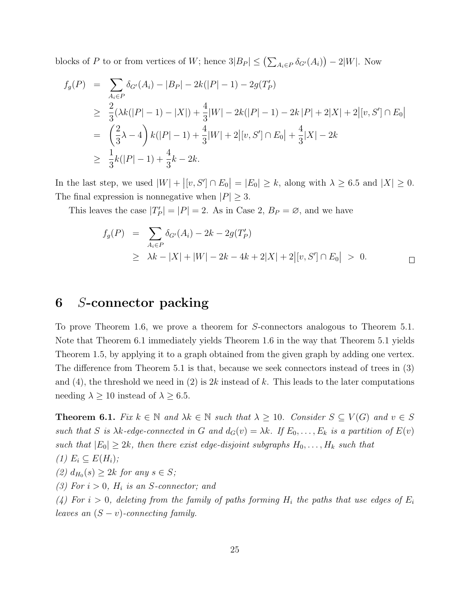blocks of P to or from vertices of W; hence  $3|B_P| \leq (\sum_{A_i \in P} \delta_{G'}(A_i)) - 2|W|$ . Now

$$
f_g(P) = \sum_{A_i \in P} \delta_{G'}(A_i) - |B_P| - 2k(|P| - 1) - 2g(T_P')
$$
  
\n
$$
\geq \frac{2}{3}(\lambda k(|P| - 1) - |X|) + \frac{4}{3}|W| - 2k(|P| - 1) - 2k|P| + 2|X| + 2|[v, S'] \cap E_0|
$$
  
\n
$$
= \left(\frac{2}{3}\lambda - 4\right)k(|P| - 1) + \frac{4}{3}|W| + 2|[v, S'] \cap E_0| + \frac{4}{3}|X| - 2k
$$
  
\n
$$
\geq \frac{1}{3}k(|P| - 1) + \frac{4}{3}k - 2k.
$$

In the last step, we used  $|W| + |[v, S'] \cap E_0| = |E_0| \ge k$ , along with  $\lambda \ge 6.5$  and  $|X| \ge 0$ . The final expression is nonnegative when  $|P| \geq 3$ .

This leaves the case  $|T'_P| = |P| = 2$ . As in Case 2,  $B_P = \emptyset$ , and we have

$$
f_g(P) = \sum_{A_i \in P} \delta_{G'}(A_i) - 2k - 2g(T_P')
$$
  
\n
$$
\geq \lambda k - |X| + |W| - 2k - 4k + 2|X| + 2|[v, S'] \cap E_0| > 0. \qquad \Box
$$

# 6 S-connector packing

To prove Theorem 1.6, we prove a theorem for S-connectors analogous to Theorem 5.1. Note that Theorem 6.1 immediately yields Theorem 1.6 in the way that Theorem 5.1 yields Theorem 1.5, by applying it to a graph obtained from the given graph by adding one vertex. The difference from Theorem 5.1 is that, because we seek connectors instead of trees in (3) and (4), the threshold we need in (2) is  $2k$  instead of k. This leads to the later computations needing  $\lambda \ge 10$  instead of  $\lambda \ge 6.5$ .

**Theorem 6.1.** *Fix*  $k \in \mathbb{N}$  *and*  $\lambda k \in \mathbb{N}$  *such that*  $\lambda \geq 10$ *. Consider*  $S \subseteq V(G)$  *and*  $v \in S$ *such that* S *is*  $\lambda k$ -edge-connected in G and  $d_G(v) = \lambda k$ . If  $E_0, \ldots, E_k$  *is a partition of*  $E(v)$ *such that*  $|E_0| \geq 2k$ *, then there exist edge-disjoint subgraphs*  $H_0, \ldots, H_k$  *such that*  $(1)$   $E_i \subseteq E(H_i)$ ; *(2)*  $d_{H_0}(s)$  ≥ 2k *for any*  $s \in S$ *;*  $(3)$  For  $i > 0$ ,  $H_i$  *is an S-connector; and* (4) For  $i > 0$ , deleting from the family of paths forming  $H_i$  the paths that use edges of  $E_i$ *leaves an*  $(S - v)$ *-connecting family.*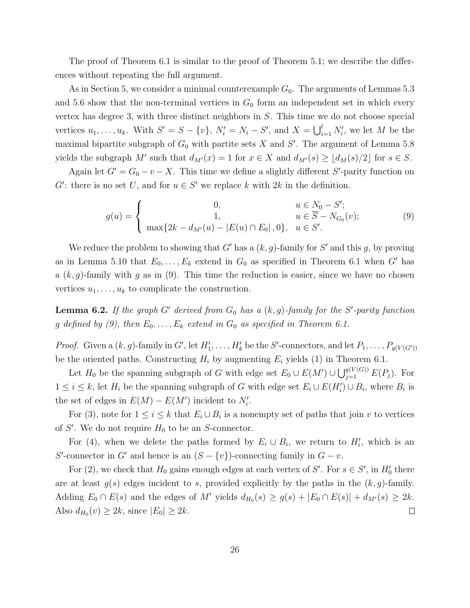The proof of Theorem 6.1 is similar to the proof of Theorem 5.1; we describe the differences without repeating the full argument.

As in Section 5, we consider a minimal counterexample  $G_0$ . The arguments of Lemmas 5.3 and 5.6 show that the non-terminal vertices in  $G_0$  form an independent set in which every vertex has degree 3, with three distinct neighbors in S. This time we do not choose special vertices  $u_1, \ldots, u_k$ . With  $S' = S - \{v\}$ ,  $N'_i = N_i - S'$ , and  $X = \bigcup_{i=1}^l N'_i$ , we let M be the maximal bipartite subgraph of  $G_0$  with partite sets X and S'. The argument of Lemma 5.8 yields the subgraph M' such that  $d_{M'}(x) = 1$  for  $x \in X$  and  $d_{M'}(s) \geq \lfloor d_M(s)/2 \rfloor$  for  $s \in S$ .

Again let  $G' = G_0 - v - X$ . This time we define a slightly different S'-parity function on G': there is no set U, and for  $u \in S'$  we replace k with  $2k$  in the definition.

$$
g(u) = \begin{cases} 0, & u \in N_0 - S';\\ 1, & u \in \overline{S} - N_{G_0}(v); \end{cases}
$$
(9)  

$$
\max\{2k - d_{M'}(u) - |E(u) \cap E_0|, 0\}, u \in S'.
$$

We reduce the problem to showing that G' has a  $(k, g)$ -family for S' and this g, by proving as in Lemma 5.10 that  $E_0, \ldots, E_k$  extend in  $G_0$  as specified in Theorem 6.1 when G' has a  $(k, g)$ -family with g as in (9). This time the reduction is easier, since we have no chosen vertices  $u_1, \ldots, u_k$  to complicate the construction.

**Lemma 6.2.** If the graph  $G'$  derived from  $G_0$  has a  $(k, g)$ -family for the  $S'$ -parity function g defined by (9), then  $E_0, \ldots, E_k$  extend in  $G_0$  as specified in Theorem 6.1.

*Proof.* Given a  $(k, g)$ -family in  $G'$ , let  $H'_1, \ldots, H'_k$  be the S'-connectors, and let  $P_1, \ldots, P_{g(V(G'))}$ be the oriented paths. Constructing  $H_i$  by augmenting  $E_i$  yields (1) in Theorem 6.1.

Let  $H_0$  be the spanning subgraph of G with edge set  $E_0 \cup E(M') \cup \bigcup_{j=1}^{g(V(G))} E(P_j)$ . For  $1 \leq i \leq k$ , let  $H_i$  be the spanning subgraph of G with edge set  $E_i \cup E(H'_i) \cup B_i$ , where  $B_i$  is the set of edges in  $E(M) - E(M')$  incident to  $N'_i$ .

For (3), note for  $1 \leq i \leq k$  that  $E_i \cup B_i$  is a nonempty set of paths that join v to vertices of  $S'$ . We do not require  $H_0$  to be an S-connector.

For (4), when we delete the paths formed by  $E_i \cup B_i$ , we return to  $H'_i$ , which is an S'-connector in G' and hence is an  $(S - \{v\})$ -connecting family in  $G - v$ .

For (2), we check that  $H_0$  gains enough edges at each vertex of S'. For  $s \in S'$ , in  $H'_0$  there are at least  $g(s)$  edges incident to s, provided explicitly by the paths in the  $(k, g)$ -family. Adding  $E_0 \cap E(s)$  and the edges of M' yields  $d_{H_0}(s) \ge g(s) + |E_0 \cap E(s)| + d_{M'}(s) \ge 2k$ . Also  $d_{H_0}(v) \geq 2k$ , since  $|E_0| \geq 2k$ .  $\Box$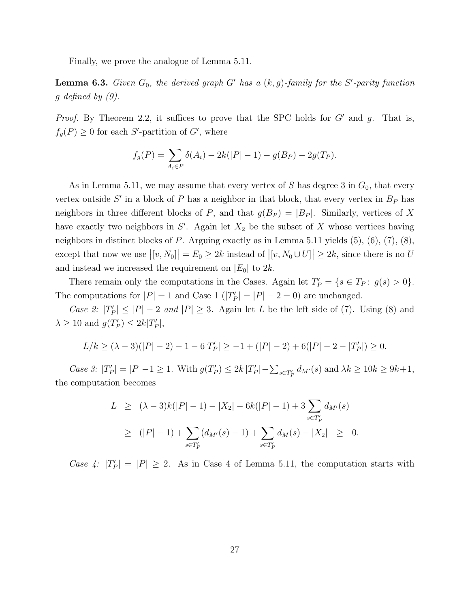Finally, we prove the analogue of Lemma 5.11.

**Lemma 6.3.** *Given*  $G_0$ , the derived graph  $G'$  has a  $(k, g)$ -family for the S'-parity function g *defined by (9).*

*Proof.* By Theorem 2.2, it suffices to prove that the SPC holds for G' and g. That is,  $f_g(P) \geq 0$  for each S'-partition of G', where

$$
f_g(P) = \sum_{A_i \in P} \delta(A_i) - 2k(|P| - 1) - g(B_P) - 2g(T_P).
$$

As in Lemma 5.11, we may assume that every vertex of  $\overline{S}$  has degree 3 in  $G_0$ , that every vertex outside  $S'$  in a block of P has a neighbor in that block, that every vertex in  $B<sub>P</sub>$  has neighbors in three different blocks of P, and that  $g(B_P) = |B_P|$ . Similarly, vertices of X have exactly two neighbors in  $S'$ . Again let  $X_2$  be the subset of X whose vertices having neighbors in distinct blocks of  $P$ . Arguing exactly as in Lemma 5.11 yields  $(5)$ ,  $(6)$ ,  $(7)$ ,  $(8)$ , except that now we use  $|[v, N_0]| = E_0 \ge 2k$  instead of  $|[v, N_0 \cup U]| \ge 2k$ , since there is no U and instead we increased the requirement on  $|E_0|$  to  $2k$ .

There remain only the computations in the Cases. Again let  $T'_P = \{s \in T_P : g(s) > 0\}.$ The computations for  $|P| = 1$  and Case 1  $(|T'_P| = |P| - 2 = 0)$  are unchanged.

*Case 2:*  $|T'_P| \leq |P| - 2$  *and*  $|P| \geq 3$ . Again let L be the left side of (7). Using (8) and  $\lambda \geq 10$  and  $g(T_P') \leq 2k|T_P'|$ ,

$$
L/k \ge (\lambda - 3)(|P| - 2) - 1 - 6|T'_P| \ge -1 + (|P| - 2) + 6(|P| - 2 - |T'_P|) \ge 0.
$$

*Case 3:*  $|T'_P| = |P|-1 \ge 1$ . With  $g(T'_P) \le 2k |T'_P| - \sum_{s \in T'_P} d_{M'}(s)$  and  $\lambda k \ge 10k \ge 9k+1$ , the computation becomes

$$
L \ge (\lambda - 3)k(|P| - 1) - |X_2| - 6k(|P| - 1) + 3 \sum_{s \in T_P'} d_{M'}(s)
$$
  
 
$$
\ge (|P| - 1) + \sum_{s \in T_P'} (d_{M'}(s) - 1) + \sum_{s \in T_P'} d_M(s) - |X_2| \ge 0.
$$

*Case 4:*  $|T'_P| = |P| \ge 2$ . As in Case 4 of Lemma 5.11, the computation starts with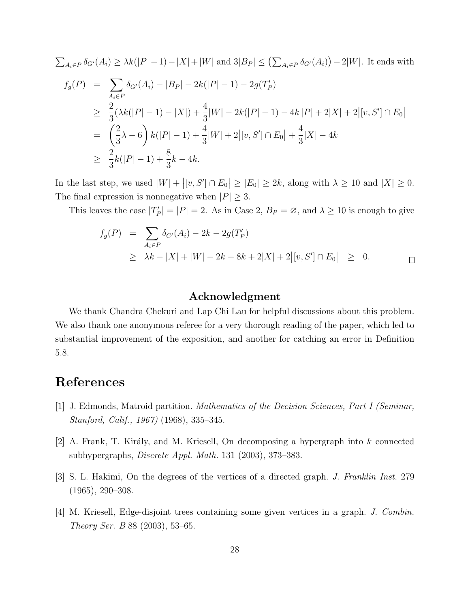$$
\sum_{A_i \in P} \delta_{G'}(A_i) \geq \lambda k(|P|-1) - |X| + |W| \text{ and } 3|B_P| \leq \left(\sum_{A_i \in P} \delta_{G'}(A_i)\right) - 2|W|. \text{ It ends with}
$$
\n
$$
f_g(P) = \sum_{A_i \in P} \delta_{G'}(A_i) - |B_P| - 2k(|P|-1) - 2g(T_P')
$$
\n
$$
\geq \frac{2}{3}(\lambda k(|P|-1) - |X|) + \frac{4}{3}|W| - 2k(|P|-1) - 4k|P| + 2|X| + 2|[v, S'] \cap E_0|
$$
\n
$$
= \left(\frac{2}{3}\lambda - 6\right)k(|P|-1) + \frac{4}{3}|W| + 2|[v, S'] \cap E_0| + \frac{4}{3}|X| - 4k
$$
\n
$$
\geq \frac{2}{3}k(|P|-1) + \frac{8}{3}k - 4k.
$$

In the last step, we used  $|W| + |[v, S'] \cap E_0| \ge |E_0| \ge 2k$ , along with  $\lambda \ge 10$  and  $|X| \ge 0$ . The final expression is nonnegative when  $|P| \geq 3$ .

This leaves the case  $|T'_P| = |P| = 2$ . As in Case 2,  $B_P = \emptyset$ , and  $\lambda \ge 10$  is enough to give

$$
f_g(P) = \sum_{A_i \in P} \delta_{G'}(A_i) - 2k - 2g(T'_P)
$$
  
\n
$$
\geq \lambda k - |X| + |W| - 2k - 8k + 2|X| + 2|[v, S'] \cap E_0| \geq 0.
$$

### Acknowledgment

We thank Chandra Chekuri and Lap Chi Lau for helpful discussions about this problem. We also thank one anonymous referee for a very thorough reading of the paper, which led to substantial improvement of the exposition, and another for catching an error in Definition 5.8.

# References

- [1] J. Edmonds, Matroid partition. *Mathematics of the Decision Sciences, Part I (Seminar, Stanford, Calif., 1967)* (1968), 335–345.
- $|2|$  A. Frank, T. Király, and M. Kriesell, On decomposing a hypergraph into k connected subhypergraphs, *Discrete Appl. Math.* 131 (2003), 373–383.
- [3] S. L. Hakimi, On the degrees of the vertices of a directed graph. *J. Franklin Inst.* 279 (1965), 290–308.
- [4] M. Kriesell, Edge-disjoint trees containing some given vertices in a graph. *J. Combin. Theory Ser. B* 88 (2003), 53–65.